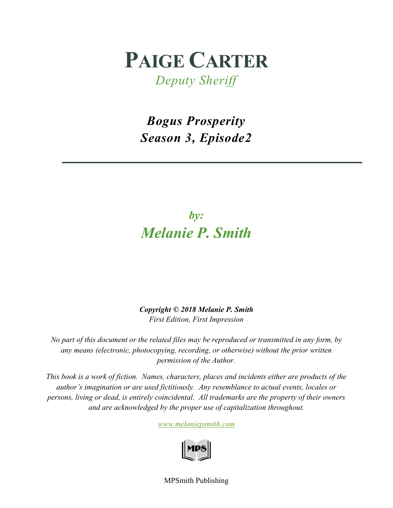# **PAIGE CARTER**

*Deputy Sheriff*

*Bogus Prosperity Season 3, Episode2*

## *by: Melanie P. Smith*

*Copyright © 2018 Melanie P. Smith First Edition, First Impression*

*No part of this document or the related files may be reproduced or transmitted in any form, by any means (electronic, photocopying, recording, or otherwise) without the prior written permission of the Author.*

*This book is a work of fiction. Names, characters, places and incidents either are products of the author's imagination or are used fictitiously. Any resemblance to actual events, locales or persons, living or dead, is entirely coincidental. All trademarks are the property of their owners and are acknowledged by the proper use of capitalization throughout.*

*[www.melaniepsmith.com](http://www.melaniepsmith.com/)*



MPSmith Publishing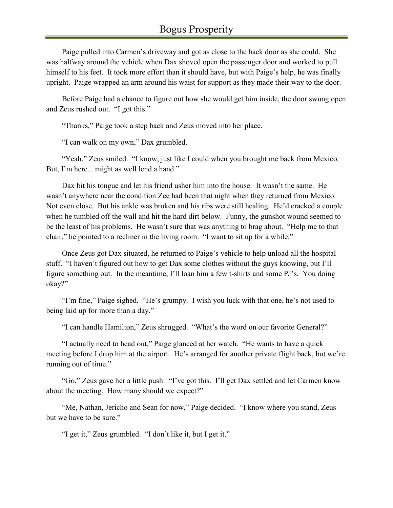Paige pulled into Carmen's driveway and got as close to the back door as she could. She was halfway around the vehicle when Dax shoved open the passenger door and worked to pull himself to his feet. It took more effort than it should have, but with Paige's help, he was finally upright. Paige wrapped an arm around his waist for support as they made their way to the door.

Before Paige had a chance to figure out how she would get him inside, the door swung open and Zeus rushed out. "I got this."

"Thanks," Paige took a step back and Zeus moved into her place.

"I can walk on my own," Dax grumbled.

"Yeah," Zeus smiled. "I know, just like I could when you brought me back from Mexico. But, I'm here... might as well lend a hand."

Dax bit his tongue and let his friend usher him into the house. It wasn't the same. He wasn't anywhere near the condition Zee had been that night when they returned from Mexico. Not even close. But his ankle was broken and his ribs were still healing. He'd cracked a couple when he tumbled off the wall and hit the hard dirt below. Funny, the gunshot wound seemed to be the least of his problems. He wasn't sure that was anything to brag about. "Help me to that chair," he pointed to a recliner in the living room. "I want to sit up for a while."

Once Zeus got Dax situated, he returned to Paige's vehicle to help unload all the hospital stuff. "I haven't figured out how to get Dax some clothes without the guys knowing, but I'll figure something out. In the meantime, I'll loan him a few t-shirts and some PJ's. You doing okay?"

"I'm fine," Paige sighed. "He's grumpy. I wish you luck with that one, he's not used to being laid up for more than a day."

"I can handle Hamilton," Zeus shrugged. "What's the word on our favorite General?"

"I actually need to head out," Paige glanced at her watch. "He wants to have a quick meeting before I drop him at the airport. He's arranged for another private flight back, but we're running out of time."

"Go," Zeus gave her a little push. "I've got this. I'll get Dax settled and let Carmen know about the meeting. How many should we expect?"

"Me, Nathan, Jericho and Sean for now," Paige decided. "I know where you stand, Zeus but we have to be sure."

"I get it," Zeus grumbled. "I don't like it, but I get it."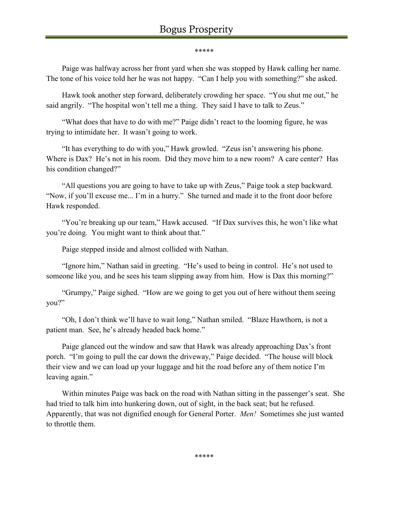#### \*\*\*\*\*

Paige was halfway across her front yard when she was stopped by Hawk calling her name. The tone of his voice told her he was not happy. "Can I help you with something?" she asked.

Hawk took another step forward, deliberately crowding her space. "You shut me out," he said angrily. "The hospital won't tell me a thing. They said I have to talk to Zeus."

"What does that have to do with me?" Paige didn't react to the looming figure, he was trying to intimidate her. It wasn't going to work.

"It has everything to do with you," Hawk growled. "Zeus isn't answering his phone. Where is Dax? He's not in his room. Did they move him to a new room? A care center? Has his condition changed?"

"All questions you are going to have to take up with Zeus," Paige took a step backward. "Now, if you'll excuse me... I'm in a hurry." She turned and made it to the front door before Hawk responded.

"You're breaking up our team," Hawk accused. "If Dax survives this, he won't like what you're doing. You might want to think about that."

Paige stepped inside and almost collided with Nathan.

"Ignore him," Nathan said in greeting. "He's used to being in control. He's not used to someone like you, and he sees his team slipping away from him. How is Dax this morning?"

"Grumpy," Paige sighed. "How are we going to get you out of here without them seeing you?"

"Oh, I don't think we'll have to wait long," Nathan smiled. "Blaze Hawthorn, is not a patient man. See, he's already headed back home."

Paige glanced out the window and saw that Hawk was already approaching Dax's front porch. "I'm going to pull the car down the driveway," Paige decided. "The house will block their view and we can load up your luggage and hit the road before any of them notice I'm leaving again."

Within minutes Paige was back on the road with Nathan sitting in the passenger's seat. She had tried to talk him into hunkering down, out of sight, in the back seat; but he refused. Apparently, that was not dignified enough for General Porter. *Men!* Sometimes she just wanted to throttle them.

\*\*\*\*\*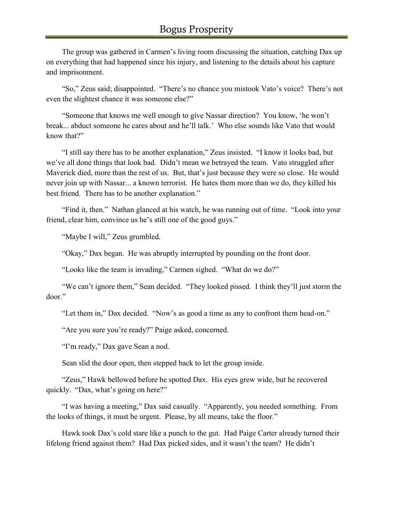The group was gathered in Carmen's living room discussing the situation, catching Dax up on everything that had happened since his injury, and listening to the details about his capture and imprisonment.

"So," Zeus said; disappointed. "There's no chance you mistook Vato's voice? There's not even the slightest chance it was someone else?"

"Someone that knows me well enough to give Nassar direction? You know, 'he won't break... abduct someone he cares about and he'll talk.' Who else sounds like Vato that would know that?"

"I still say there has to be another explanation," Zeus insisted. "I know it looks bad, but we've all done things that look bad. Didn't mean we betrayed the team. Vato struggled after Maverick died, more than the rest of us. But, that's just because they were so close. He would never join up with Nassar... a known terrorist. He hates them more than we do, they killed his best friend. There has to be another explanation."

"Find it, then." Nathan glanced at his watch, he was running out of time. "Look into your friend, clear him, convince us he's still one of the good guys."

"Maybe I will," Zeus grumbled.

"Okay," Dax began. He was abruptly interrupted by pounding on the front door.

"Looks like the team is invading," Carmen sighed. "What do we do?"

"We can't ignore them," Sean decided. "They looked pissed. I think they'll just storm the door."

"Let them in," Dax decided. "Now's as good a time as any to confront them head-on."

"Are you sure you're ready?" Paige asked, concerned.

"I'm ready," Dax gave Sean a nod.

Sean slid the door open, then stepped back to let the group inside.

"Zeus," Hawk bellowed before he spotted Dax. His eyes grew wide, but he recovered quickly. "Dax, what's going on here?"

"I was having a meeting," Dax said casually. "Apparently, you needed something. From the looks of things, it must be urgent. Please, by all means, take the floor."

Hawk took Dax's cold stare like a punch to the gut. Had Paige Carter already turned their lifelong friend against them? Had Dax picked sides, and it wasn't the team? He didn't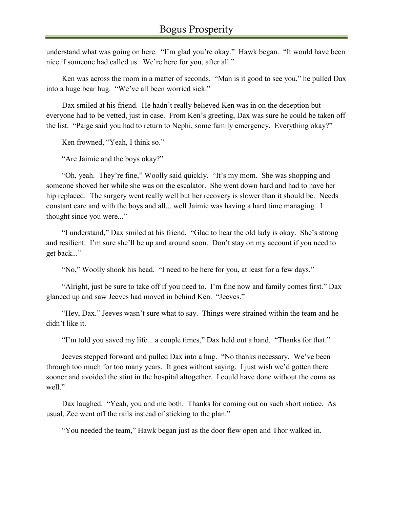understand what was going on here. "I'm glad you're okay." Hawk began. "It would have been nice if someone had called us. We're here for you, after all."

Ken was across the room in a matter of seconds. "Man is it good to see you," he pulled Dax into a huge bear hug. "We've all been worried sick."

Dax smiled at his friend. He hadn't really believed Ken was in on the deception but everyone had to be vetted, just in case. From Ken's greeting, Dax was sure he could be taken off the list. "Paige said you had to return to Nephi, some family emergency. Everything okay?"

Ken frowned, "Yeah, I think so."

"Are Jaimie and the boys okay?"

"Oh, yeah. They're fine," Woolly said quickly. "It's my mom. She was shopping and someone shoved her while she was on the escalator. She went down hard and had to have her hip replaced. The surgery went really well but her recovery is slower than it should be. Needs constant care and with the boys and all... well Jaimie was having a hard time managing. I thought since you were..."

"I understand," Dax smiled at his friend. "Glad to hear the old lady is okay. She's strong and resilient. I'm sure she'll be up and around soon. Don't stay on my account if you need to get back..."

"No," Woolly shook his head. "I need to be here for you, at least for a few days."

"Alright, just be sure to take off if you need to. I'm fine now and family comes first." Dax glanced up and saw Jeeves had moved in behind Ken. "Jeeves."

"Hey, Dax." Jeeves wasn't sure what to say. Things were strained within the team and he didn't like it.

"I'm told you saved my life... a couple times," Dax held out a hand. "Thanks for that."

Jeeves stepped forward and pulled Dax into a hug. "No thanks necessary. We've been through too much for too many years. It goes without saying. I just wish we'd gotten there sooner and avoided the stint in the hospital altogether. I could have done without the coma as well."

Dax laughed. "Yeah, you and me both. Thanks for coming out on such short notice. As usual, Zee went off the rails instead of sticking to the plan."

"You needed the team," Hawk began just as the door flew open and Thor walked in.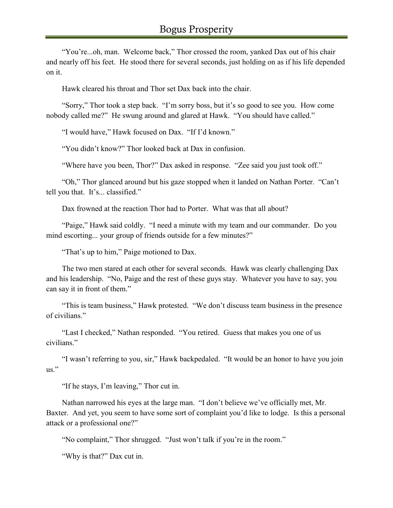"You're...oh, man. Welcome back," Thor crossed the room, yanked Dax out of his chair and nearly off his feet. He stood there for several seconds, just holding on as if his life depended on it.

Hawk cleared his throat and Thor set Dax back into the chair.

"Sorry," Thor took a step back. "I'm sorry boss, but it's so good to see you. How come nobody called me?" He swung around and glared at Hawk. "You should have called."

"I would have," Hawk focused on Dax. "If I'd known."

"You didn't know?" Thor looked back at Dax in confusion.

"Where have you been, Thor?" Dax asked in response. "Zee said you just took off."

"Oh," Thor glanced around but his gaze stopped when it landed on Nathan Porter. "Can't tell you that. It's... classified."

Dax frowned at the reaction Thor had to Porter. What was that all about?

"Paige," Hawk said coldly. "I need a minute with my team and our commander. Do you mind escorting... your group of friends outside for a few minutes?"

"That's up to him," Paige motioned to Dax.

The two men stared at each other for several seconds. Hawk was clearly challenging Dax and his leadership. "No, Paige and the rest of these guys stay. Whatever you have to say, you can say it in front of them."

"This is team business," Hawk protested. "We don't discuss team business in the presence of civilians."

"Last I checked," Nathan responded. "You retired. Guess that makes you one of us civilians."

"I wasn't referring to you, sir," Hawk backpedaled. "It would be an honor to have you join us."

"If he stays, I'm leaving," Thor cut in.

Nathan narrowed his eyes at the large man. "I don't believe we've officially met, Mr. Baxter. And yet, you seem to have some sort of complaint you'd like to lodge. Is this a personal attack or a professional one?"

"No complaint," Thor shrugged. "Just won't talk if you're in the room."

"Why is that?" Dax cut in.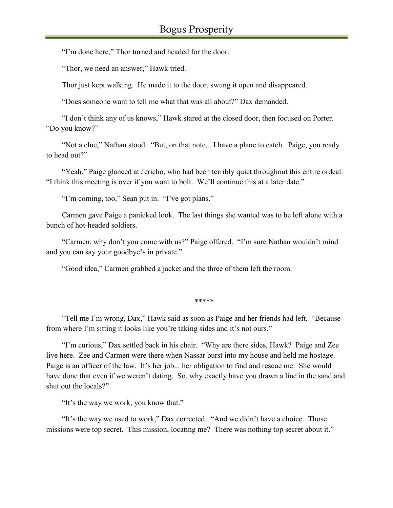"I'm done here," Thor turned and headed for the door.

"Thor, we need an answer," Hawk tried.

Thor just kept walking. He made it to the door, swung it open and disappeared.

"Does someone want to tell me what that was all about?" Dax demanded.

"I don't think any of us knows," Hawk stared at the closed door, then focused on Porter. "Do you know?"

"Not a clue," Nathan stood. "But, on that note... I have a plane to catch. Paige, you ready to head out?"

"Yeah," Paige glanced at Jericho, who had been terribly quiet throughout this entire ordeal. "I think this meeting is over if you want to bolt. We'll continue this at a later date."

"I'm coming, too," Sean put in. "I've got plans."

Carmen gave Paige a panicked look. The last things she wanted was to be left alone with a bunch of hot-headed soldiers.

"Carmen, why don't you come with us?" Paige offered. "I'm sure Nathan wouldn't mind and you can say your goodbye's in private."

"Good idea," Carmen grabbed a jacket and the three of them left the room.

\*\*\*\*\*

"Tell me I'm wrong, Dax," Hawk said as soon as Paige and her friends had left. "Because from where I'm sitting it looks like you're taking sides and it's not ours."

"I'm curious," Dax settled back in his chair. "Why are there sides, Hawk? Paige and Zee live here. Zee and Carmen were there when Nassar burst into my house and held me hostage. Paige is an officer of the law. It's her job... her obligation to find and rescue me. She would have done that even if we weren't dating. So, why exactly have you drawn a line in the sand and shut out the locals?"

"It's the way we work, you know that."

"It's the way we used to work," Dax corrected. "And we didn't have a choice. Those missions were top secret. This mission, locating me? There was nothing top secret about it."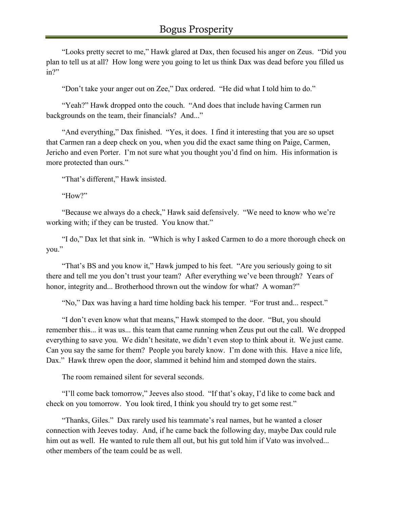"Looks pretty secret to me," Hawk glared at Dax, then focused his anger on Zeus. "Did you plan to tell us at all? How long were you going to let us think Dax was dead before you filled us in?"

"Don't take your anger out on Zee," Dax ordered. "He did what I told him to do."

"Yeah?" Hawk dropped onto the couch. "And does that include having Carmen run backgrounds on the team, their financials? And..."

"And everything," Dax finished. "Yes, it does. I find it interesting that you are so upset that Carmen ran a deep check on you, when you did the exact same thing on Paige, Carmen, Jericho and even Porter. I'm not sure what you thought you'd find on him. His information is more protected than ours."

"That's different," Hawk insisted.

"How?"

"Because we always do a check," Hawk said defensively. "We need to know who we're working with; if they can be trusted. You know that."

"I do," Dax let that sink in. "Which is why I asked Carmen to do a more thorough check on you."

"That's BS and you know it," Hawk jumped to his feet. "Are you seriously going to sit there and tell me you don't trust your team? After everything we've been through? Years of honor, integrity and... Brotherhood thrown out the window for what? A woman?"

"No," Dax was having a hard time holding back his temper. "For trust and... respect."

"I don't even know what that means," Hawk stomped to the door. "But, you should remember this... it was us... this team that came running when Zeus put out the call. We dropped everything to save you. We didn't hesitate, we didn't even stop to think about it. We just came. Can you say the same for them? People you barely know. I'm done with this. Have a nice life, Dax." Hawk threw open the door, slammed it behind him and stomped down the stairs.

The room remained silent for several seconds.

"I'll come back tomorrow," Jeeves also stood. "If that's okay, I'd like to come back and check on you tomorrow. You look tired, I think you should try to get some rest."

"Thanks, Giles." Dax rarely used his teammate's real names, but he wanted a closer connection with Jeeves today. And, if he came back the following day, maybe Dax could rule him out as well. He wanted to rule them all out, but his gut told him if Vato was involved... other members of the team could be as well.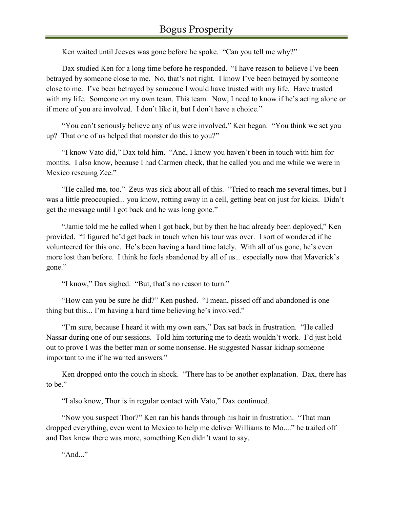Ken waited until Jeeves was gone before he spoke. "Can you tell me why?"

Dax studied Ken for a long time before he responded. "I have reason to believe I've been betrayed by someone close to me. No, that's not right. I know I've been betrayed by someone close to me. I've been betrayed by someone I would have trusted with my life. Have trusted with my life. Someone on my own team. This team. Now, I need to know if he's acting alone or if more of you are involved. I don't like it, but I don't have a choice."

"You can't seriously believe any of us were involved," Ken began. "You think we set you up? That one of us helped that monster do this to you?"

"I know Vato did," Dax told him. "And, I know you haven't been in touch with him for months. I also know, because I had Carmen check, that he called you and me while we were in Mexico rescuing Zee."

"He called me, too." Zeus was sick about all of this. "Tried to reach me several times, but I was a little preoccupied... you know, rotting away in a cell, getting beat on just for kicks. Didn't get the message until I got back and he was long gone."

"Jamie told me he called when I got back, but by then he had already been deployed," Ken provided. "I figured he'd get back in touch when his tour was over. I sort of wondered if he volunteered for this one. He's been having a hard time lately. With all of us gone, he's even more lost than before. I think he feels abandoned by all of us... especially now that Maverick's gone."

"I know," Dax sighed. "But, that's no reason to turn."

"How can you be sure he did?" Ken pushed. "I mean, pissed off and abandoned is one thing but this... I'm having a hard time believing he's involved."

"I'm sure, because I heard it with my own ears," Dax sat back in frustration. "He called Nassar during one of our sessions. Told him torturing me to death wouldn't work. I'd just hold out to prove I was the better man or some nonsense. He suggested Nassar kidnap someone important to me if he wanted answers."

Ken dropped onto the couch in shock. "There has to be another explanation. Dax, there has to be."

"I also know, Thor is in regular contact with Vato," Dax continued.

"Now you suspect Thor?" Ken ran his hands through his hair in frustration. "That man dropped everything, even went to Mexico to help me deliver Williams to Mo...." he trailed off and Dax knew there was more, something Ken didn't want to say.

"And $"$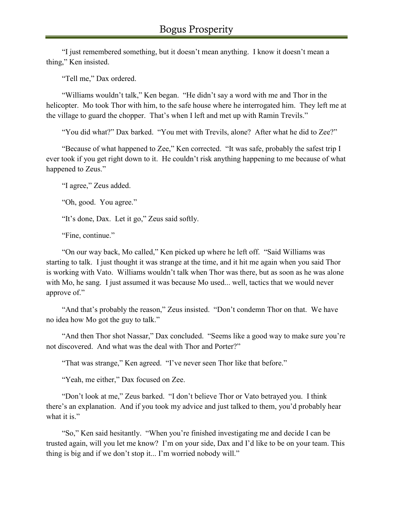"I just remembered something, but it doesn't mean anything. I know it doesn't mean a thing," Ken insisted.

"Tell me," Dax ordered.

"Williams wouldn't talk," Ken began. "He didn't say a word with me and Thor in the helicopter. Mo took Thor with him, to the safe house where he interrogated him. They left me at the village to guard the chopper. That's when I left and met up with Ramin Trevils."

"You did what?" Dax barked. "You met with Trevils, alone? After what he did to Zee?"

"Because of what happened to Zee," Ken corrected. "It was safe, probably the safest trip I ever took if you get right down to it. He couldn't risk anything happening to me because of what happened to Zeus."

"I agree," Zeus added.

"Oh, good. You agree."

"It's done, Dax. Let it go," Zeus said softly.

"Fine, continue."

"On our way back, Mo called," Ken picked up where he left off. "Said Williams was starting to talk. I just thought it was strange at the time, and it hit me again when you said Thor is working with Vato. Williams wouldn't talk when Thor was there, but as soon as he was alone with Mo, he sang. I just assumed it was because Mo used... well, tactics that we would never approve of."

"And that's probably the reason," Zeus insisted. "Don't condemn Thor on that. We have no idea how Mo got the guy to talk."

"And then Thor shot Nassar," Dax concluded. "Seems like a good way to make sure you're not discovered. And what was the deal with Thor and Porter?"

"That was strange," Ken agreed. "I've never seen Thor like that before."

"Yeah, me either," Dax focused on Zee.

"Don't look at me," Zeus barked. "I don't believe Thor or Vato betrayed you. I think there's an explanation. And if you took my advice and just talked to them, you'd probably hear what it is."

"So," Ken said hesitantly. "When you're finished investigating me and decide I can be trusted again, will you let me know? I'm on your side, Dax and I'd like to be on your team. This thing is big and if we don't stop it... I'm worried nobody will."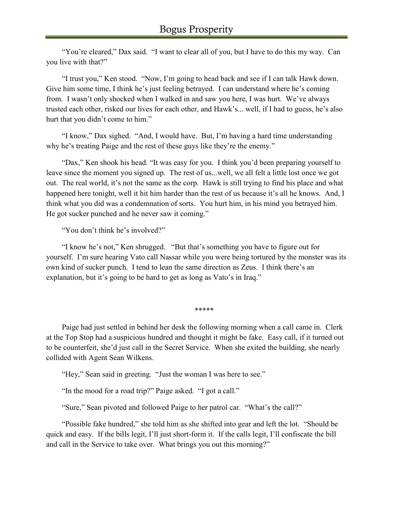"You're cleared," Dax said. "I want to clear all of you, but I have to do this my way. Can you live with that?"

"I trust you," Ken stood. "Now, I'm going to head back and see if I can talk Hawk down. Give him some time, I think he's just feeling betrayed. I can understand where he's coming from. I wasn't only shocked when I walked in and saw you here, I was hurt. We've always trusted each other, risked our lives for each other, and Hawk's... well, if I had to guess, he's also hurt that you didn't come to him."

"I know," Dax sighed. "And, I would have. But, I'm having a hard time understanding why he's treating Paige and the rest of these guys like they're the enemy."

"Dax," Ken shook his head. "It was easy for you. I think you'd been preparing yourself to leave since the moment you signed up. The rest of us...well, we all felt a little lost once we got out. The real world, it's not the same as the corp. Hawk is still trying to find his place and what happened here tonight, well it hit him harder than the rest of us because it's all he knows. And, I think what you did was a condemnation of sorts. You hurt him, in his mind you betrayed him. He got sucker punched and he never saw it coming."

"You don't think he's involved?"

"I know he's not," Ken shrugged. "But that's something you have to figure out for yourself. I'm sure hearing Vato call Nassar while you were being tortured by the monster was its own kind of sucker punch. I tend to lean the same direction as Zeus. I think there's an explanation, but it's going to be hard to get as long as Vato's in Iraq."

\*\*\*\*\*

Paige had just settled in behind her desk the following morning when a call came in. Clerk at the Top Stop had a suspicious hundred and thought it might be fake. Easy call, if it turned out to be counterfeit, she'd just call in the Secret Service. When she exited the building, she nearly collided with Agent Sean Wilkens.

"Hey," Sean said in greeting. "Just the woman I was here to see."

"In the mood for a road trip?" Paige asked. "I got a call."

"Sure," Sean pivoted and followed Paige to her patrol car. "What's the call?"

"Possible fake hundred," she told him as she shifted into gear and left the lot. "Should be quick and easy. If the bills legit, I'll just short-form it. If the calls legit, I'll confiscate the bill and call in the Service to take over. What brings you out this morning?"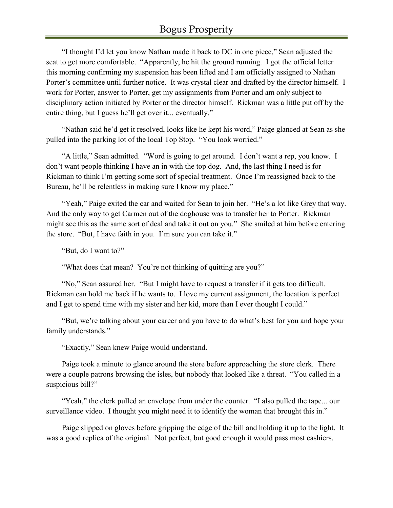"I thought I'd let you know Nathan made it back to DC in one piece," Sean adjusted the seat to get more comfortable. "Apparently, he hit the ground running. I got the official letter this morning confirming my suspension has been lifted and I am officially assigned to Nathan Porter's committee until further notice. It was crystal clear and drafted by the director himself. I work for Porter, answer to Porter, get my assignments from Porter and am only subject to disciplinary action initiated by Porter or the director himself. Rickman was a little put off by the entire thing, but I guess he'll get over it... eventually."

"Nathan said he'd get it resolved, looks like he kept his word," Paige glanced at Sean as she pulled into the parking lot of the local Top Stop. "You look worried."

"A little," Sean admitted. "Word is going to get around. I don't want a rep, you know. I don't want people thinking I have an in with the top dog. And, the last thing I need is for Rickman to think I'm getting some sort of special treatment. Once I'm reassigned back to the Bureau, he'll be relentless in making sure I know my place."

"Yeah," Paige exited the car and waited for Sean to join her. "He's a lot like Grey that way. And the only way to get Carmen out of the doghouse was to transfer her to Porter. Rickman might see this as the same sort of deal and take it out on you." She smiled at him before entering the store. "But, I have faith in you. I'm sure you can take it."

"But, do I want to?"

"What does that mean? You're not thinking of quitting are you?"

"No," Sean assured her. "But I might have to request a transfer if it gets too difficult. Rickman can hold me back if he wants to. I love my current assignment, the location is perfect and I get to spend time with my sister and her kid, more than I ever thought I could."

"But, we're talking about your career and you have to do what's best for you and hope your family understands."

"Exactly," Sean knew Paige would understand.

Paige took a minute to glance around the store before approaching the store clerk. There were a couple patrons browsing the isles, but nobody that looked like a threat. "You called in a suspicious bill?"

"Yeah," the clerk pulled an envelope from under the counter. "I also pulled the tape... our surveillance video. I thought you might need it to identify the woman that brought this in."

Paige slipped on gloves before gripping the edge of the bill and holding it up to the light. It was a good replica of the original. Not perfect, but good enough it would pass most cashiers.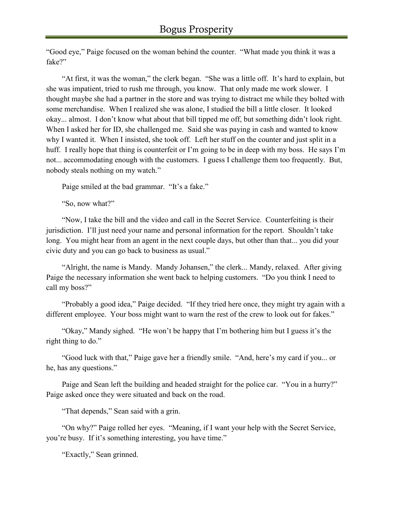"Good eye," Paige focused on the woman behind the counter. "What made you think it was a fake?"

"At first, it was the woman," the clerk began. "She was a little off. It's hard to explain, but she was impatient, tried to rush me through, you know. That only made me work slower. I thought maybe she had a partner in the store and was trying to distract me while they bolted with some merchandise. When I realized she was alone, I studied the bill a little closer. It looked okay... almost. I don't know what about that bill tipped me off, but something didn't look right. When I asked her for ID, she challenged me. Said she was paying in cash and wanted to know why I wanted it. When I insisted, she took off. Left her stuff on the counter and just split in a huff. I really hope that thing is counterfeit or I'm going to be in deep with my boss. He says I'm not... accommodating enough with the customers. I guess I challenge them too frequently. But, nobody steals nothing on my watch."

Paige smiled at the bad grammar. "It's a fake."

"So, now what?"

"Now, I take the bill and the video and call in the Secret Service. Counterfeiting is their jurisdiction. I'll just need your name and personal information for the report. Shouldn't take long. You might hear from an agent in the next couple days, but other than that... you did your civic duty and you can go back to business as usual."

"Alright, the name is Mandy. Mandy Johansen," the clerk... Mandy, relaxed. After giving Paige the necessary information she went back to helping customers. "Do you think I need to call my boss?"

"Probably a good idea," Paige decided. "If they tried here once, they might try again with a different employee. Your boss might want to warn the rest of the crew to look out for fakes."

"Okay," Mandy sighed. "He won't be happy that I'm bothering him but I guess it's the right thing to do."

"Good luck with that," Paige gave her a friendly smile. "And, here's my card if you... or he, has any questions."

Paige and Sean left the building and headed straight for the police car. "You in a hurry?" Paige asked once they were situated and back on the road.

"That depends," Sean said with a grin.

"On why?" Paige rolled her eyes. "Meaning, if I want your help with the Secret Service, you're busy. If it's something interesting, you have time."

"Exactly," Sean grinned.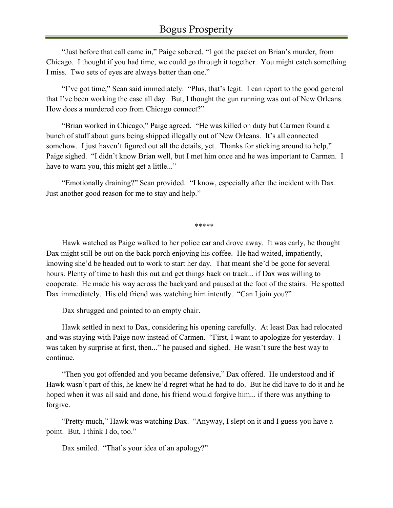"Just before that call came in," Paige sobered. "I got the packet on Brian's murder, from Chicago. I thought if you had time, we could go through it together. You might catch something I miss. Two sets of eyes are always better than one."

"I've got time," Sean said immediately. "Plus, that's legit. I can report to the good general that I've been working the case all day. But, I thought the gun running was out of New Orleans. How does a murdered cop from Chicago connect?"

"Brian worked in Chicago," Paige agreed. "He was killed on duty but Carmen found a bunch of stuff about guns being shipped illegally out of New Orleans. It's all connected somehow. I just haven't figured out all the details, yet. Thanks for sticking around to help," Paige sighed. "I didn't know Brian well, but I met him once and he was important to Carmen. I have to warn you, this might get a little..."

"Emotionally draining?" Sean provided. "I know, especially after the incident with Dax. Just another good reason for me to stay and help."

\*\*\*\*\*

Hawk watched as Paige walked to her police car and drove away. It was early, he thought Dax might still be out on the back porch enjoying his coffee. He had waited, impatiently, knowing she'd be headed out to work to start her day. That meant she'd be gone for several hours. Plenty of time to hash this out and get things back on track... if Dax was willing to cooperate. He made his way across the backyard and paused at the foot of the stairs. He spotted Dax immediately. His old friend was watching him intently. "Can I join you?"

Dax shrugged and pointed to an empty chair.

Hawk settled in next to Dax, considering his opening carefully. At least Dax had relocated and was staying with Paige now instead of Carmen. "First, I want to apologize for yesterday. I was taken by surprise at first, then..." he paused and sighed. He wasn't sure the best way to continue.

"Then you got offended and you became defensive," Dax offered. He understood and if Hawk wasn't part of this, he knew he'd regret what he had to do. But he did have to do it and he hoped when it was all said and done, his friend would forgive him... if there was anything to forgive.

"Pretty much," Hawk was watching Dax. "Anyway, I slept on it and I guess you have a point. But, I think I do, too."

Dax smiled. "That's your idea of an apology?"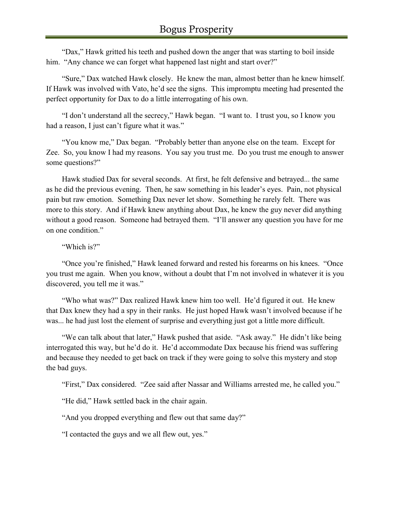"Dax," Hawk gritted his teeth and pushed down the anger that was starting to boil inside him. "Any chance we can forget what happened last night and start over?"

"Sure," Dax watched Hawk closely. He knew the man, almost better than he knew himself. If Hawk was involved with Vato, he'd see the signs. This impromptu meeting had presented the perfect opportunity for Dax to do a little interrogating of his own.

"I don't understand all the secrecy," Hawk began. "I want to. I trust you, so I know you had a reason, I just can't figure what it was."

"You know me," Dax began. "Probably better than anyone else on the team. Except for Zee. So, you know I had my reasons. You say you trust me. Do you trust me enough to answer some questions?"

Hawk studied Dax for several seconds. At first, he felt defensive and betrayed... the same as he did the previous evening. Then, he saw something in his leader's eyes. Pain, not physical pain but raw emotion. Something Dax never let show. Something he rarely felt. There was more to this story. And if Hawk knew anything about Dax, he knew the guy never did anything without a good reason. Someone had betrayed them. "I'll answer any question you have for me on one condition."

"Which is?"

"Once you're finished," Hawk leaned forward and rested his forearms on his knees. "Once you trust me again. When you know, without a doubt that I'm not involved in whatever it is you discovered, you tell me it was."

"Who what was?" Dax realized Hawk knew him too well. He'd figured it out. He knew that Dax knew they had a spy in their ranks. He just hoped Hawk wasn't involved because if he was... he had just lost the element of surprise and everything just got a little more difficult.

"We can talk about that later," Hawk pushed that aside. "Ask away." He didn't like being interrogated this way, but he'd do it. He'd accommodate Dax because his friend was suffering and because they needed to get back on track if they were going to solve this mystery and stop the bad guys.

"First," Dax considered. "Zee said after Nassar and Williams arrested me, he called you."

"He did," Hawk settled back in the chair again.

"And you dropped everything and flew out that same day?"

"I contacted the guys and we all flew out, yes."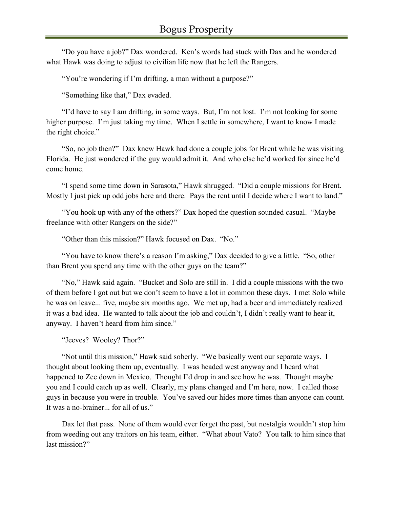"Do you have a job?" Dax wondered. Ken's words had stuck with Dax and he wondered what Hawk was doing to adjust to civilian life now that he left the Rangers.

"You're wondering if I'm drifting, a man without a purpose?"

"Something like that," Dax evaded.

"I'd have to say I am drifting, in some ways. But, I'm not lost. I'm not looking for some higher purpose. I'm just taking my time. When I settle in somewhere, I want to know I made the right choice."

"So, no job then?" Dax knew Hawk had done a couple jobs for Brent while he was visiting Florida. He just wondered if the guy would admit it. And who else he'd worked for since he'd come home.

"I spend some time down in Sarasota," Hawk shrugged. "Did a couple missions for Brent. Mostly I just pick up odd jobs here and there. Pays the rent until I decide where I want to land."

"You hook up with any of the others?" Dax hoped the question sounded casual. "Maybe freelance with other Rangers on the side?"

"Other than this mission?" Hawk focused on Dax. "No."

"You have to know there's a reason I'm asking," Dax decided to give a little. "So, other than Brent you spend any time with the other guys on the team?"

"No," Hawk said again. "Bucket and Solo are still in. I did a couple missions with the two of them before I got out but we don't seem to have a lot in common these days. I met Solo while he was on leave... five, maybe six months ago. We met up, had a beer and immediately realized it was a bad idea. He wanted to talk about the job and couldn't, I didn't really want to hear it, anyway. I haven't heard from him since."

"Jeeves? Wooley? Thor?"

"Not until this mission," Hawk said soberly. "We basically went our separate ways. I thought about looking them up, eventually. I was headed west anyway and I heard what happened to Zee down in Mexico. Thought I'd drop in and see how he was. Thought maybe you and I could catch up as well. Clearly, my plans changed and I'm here, now. I called those guys in because you were in trouble. You've saved our hides more times than anyone can count. It was a no-brainer... for all of us."

Dax let that pass. None of them would ever forget the past, but nostalgia wouldn't stop him from weeding out any traitors on his team, either. "What about Vato? You talk to him since that last mission?"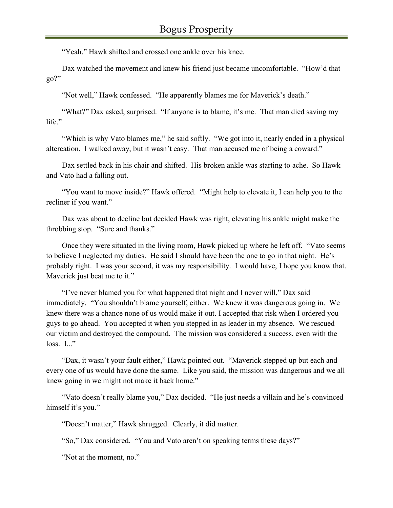"Yeah," Hawk shifted and crossed one ankle over his knee.

Dax watched the movement and knew his friend just became uncomfortable. "How'd that go?"

"Not well," Hawk confessed. "He apparently blames me for Maverick's death."

"What?" Dax asked, surprised. "If anyone is to blame, it's me. That man died saving my life."

"Which is why Vato blames me," he said softly. "We got into it, nearly ended in a physical altercation. I walked away, but it wasn't easy. That man accused me of being a coward."

Dax settled back in his chair and shifted. His broken ankle was starting to ache. So Hawk and Vato had a falling out.

"You want to move inside?" Hawk offered. "Might help to elevate it, I can help you to the recliner if you want."

Dax was about to decline but decided Hawk was right, elevating his ankle might make the throbbing stop. "Sure and thanks."

Once they were situated in the living room, Hawk picked up where he left off. "Vato seems to believe I neglected my duties. He said I should have been the one to go in that night. He's probably right. I was your second, it was my responsibility. I would have, I hope you know that. Maverick just beat me to it."

"I've never blamed you for what happened that night and I never will," Dax said immediately. "You shouldn't blame yourself, either. We knew it was dangerous going in. We knew there was a chance none of us would make it out. I accepted that risk when I ordered you guys to go ahead. You accepted it when you stepped in as leader in my absence. We rescued our victim and destroyed the compound. The mission was considered a success, even with the  $loss.$  I..."

"Dax, it wasn't your fault either," Hawk pointed out. "Maverick stepped up but each and every one of us would have done the same. Like you said, the mission was dangerous and we all knew going in we might not make it back home."

"Vato doesn't really blame you," Dax decided. "He just needs a villain and he's convinced himself it's you."

"Doesn't matter," Hawk shrugged. Clearly, it did matter.

"So," Dax considered. "You and Vato aren't on speaking terms these days?"

"Not at the moment, no."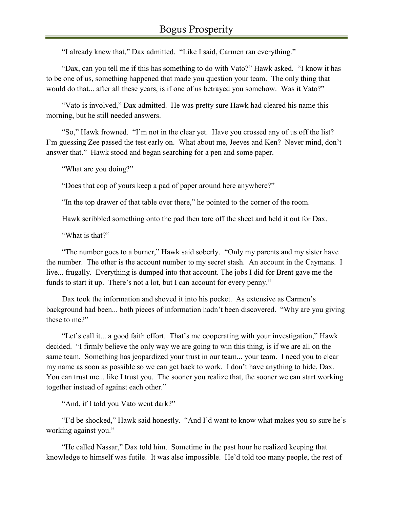"I already knew that," Dax admitted. "Like I said, Carmen ran everything."

"Dax, can you tell me if this has something to do with Vato?" Hawk asked. "I know it has to be one of us, something happened that made you question your team. The only thing that would do that... after all these years, is if one of us betrayed you somehow. Was it Vato?"

"Vato is involved," Dax admitted. He was pretty sure Hawk had cleared his name this morning, but he still needed answers.

"So," Hawk frowned. "I'm not in the clear yet. Have you crossed any of us off the list? I'm guessing Zee passed the test early on. What about me, Jeeves and Ken? Never mind, don't answer that." Hawk stood and began searching for a pen and some paper.

"What are you doing?"

"Does that cop of yours keep a pad of paper around here anywhere?"

"In the top drawer of that table over there," he pointed to the corner of the room.

Hawk scribbled something onto the pad then tore off the sheet and held it out for Dax.

"What is that?"

"The number goes to a burner," Hawk said soberly. "Only my parents and my sister have the number. The other is the account number to my secret stash. An account in the Caymans. I live... frugally. Everything is dumped into that account. The jobs I did for Brent gave me the funds to start it up. There's not a lot, but I can account for every penny."

Dax took the information and shoved it into his pocket. As extensive as Carmen's background had been... both pieces of information hadn't been discovered. "Why are you giving these to me?"

"Let's call it... a good faith effort. That's me cooperating with your investigation," Hawk decided. "I firmly believe the only way we are going to win this thing, is if we are all on the same team. Something has jeopardized your trust in our team... your team. I need you to clear my name as soon as possible so we can get back to work. I don't have anything to hide, Dax. You can trust me... like I trust you. The sooner you realize that, the sooner we can start working together instead of against each other."

"And, if I told you Vato went dark?"

"I'd be shocked," Hawk said honestly. "And I'd want to know what makes you so sure he's working against you."

"He called Nassar," Dax told him. Sometime in the past hour he realized keeping that knowledge to himself was futile. It was also impossible. He'd told too many people, the rest of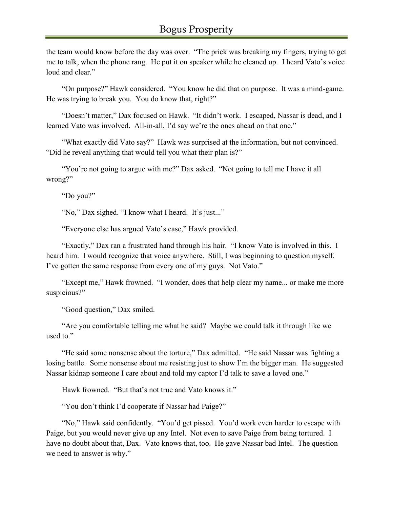the team would know before the day was over. "The prick was breaking my fingers, trying to get me to talk, when the phone rang. He put it on speaker while he cleaned up. I heard Vato's voice loud and clear."

"On purpose?" Hawk considered. "You know he did that on purpose. It was a mind-game. He was trying to break you. You do know that, right?"

"Doesn't matter," Dax focused on Hawk. "It didn't work. I escaped, Nassar is dead, and I learned Vato was involved. All-in-all, I'd say we're the ones ahead on that one."

"What exactly did Vato say?" Hawk was surprised at the information, but not convinced. "Did he reveal anything that would tell you what their plan is?"

"You're not going to argue with me?" Dax asked. "Not going to tell me I have it all wrong?"

"Do you?"

"No," Dax sighed. "I know what I heard. It's just..."

"Everyone else has argued Vato's case," Hawk provided.

"Exactly," Dax ran a frustrated hand through his hair. "I know Vato is involved in this. I heard him. I would recognize that voice anywhere. Still, I was beginning to question myself. I've gotten the same response from every one of my guys. Not Vato."

"Except me," Hawk frowned. "I wonder, does that help clear my name... or make me more suspicious?"

"Good question," Dax smiled.

"Are you comfortable telling me what he said? Maybe we could talk it through like we used to."

"He said some nonsense about the torture," Dax admitted. "He said Nassar was fighting a losing battle. Some nonsense about me resisting just to show I'm the bigger man. He suggested Nassar kidnap someone I care about and told my captor I'd talk to save a loved one."

Hawk frowned. "But that's not true and Vato knows it."

"You don't think I'd cooperate if Nassar had Paige?"

"No," Hawk said confidently. "You'd get pissed. You'd work even harder to escape with Paige, but you would never give up any Intel. Not even to save Paige from being tortured. I have no doubt about that, Dax. Vato knows that, too. He gave Nassar bad Intel. The question we need to answer is why."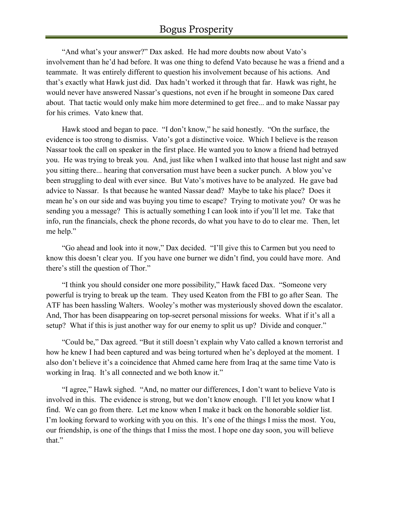"And what's your answer?" Dax asked. He had more doubts now about Vato's involvement than he'd had before. It was one thing to defend Vato because he was a friend and a teammate. It was entirely different to question his involvement because of his actions. And that's exactly what Hawk just did. Dax hadn't worked it through that far. Hawk was right, he would never have answered Nassar's questions, not even if he brought in someone Dax cared about. That tactic would only make him more determined to get free... and to make Nassar pay for his crimes. Vato knew that.

Hawk stood and began to pace. "I don't know," he said honestly. "On the surface, the evidence is too strong to dismiss. Vato's got a distinctive voice. Which I believe is the reason Nassar took the call on speaker in the first place. He wanted you to know a friend had betrayed you. He was trying to break you. And, just like when I walked into that house last night and saw you sitting there... hearing that conversation must have been a sucker punch. A blow you've been struggling to deal with ever since. But Vato's motives have to be analyzed. He gave bad advice to Nassar. Is that because he wanted Nassar dead? Maybe to take his place? Does it mean he's on our side and was buying you time to escape? Trying to motivate you? Or was he sending you a message? This is actually something I can look into if you'll let me. Take that info, run the financials, check the phone records, do what you have to do to clear me. Then, let me help."

"Go ahead and look into it now," Dax decided. "I'll give this to Carmen but you need to know this doesn't clear you. If you have one burner we didn't find, you could have more. And there's still the question of Thor."

"I think you should consider one more possibility," Hawk faced Dax. "Someone very powerful is trying to break up the team. They used Keaton from the FBI to go after Sean. The ATF has been hassling Walters. Wooley's mother was mysteriously shoved down the escalator. And, Thor has been disappearing on top-secret personal missions for weeks. What if it's all a setup? What if this is just another way for our enemy to split us up? Divide and conquer."

"Could be," Dax agreed. "But it still doesn't explain why Vato called a known terrorist and how he knew I had been captured and was being tortured when he's deployed at the moment. I also don't believe it's a coincidence that Ahmed came here from Iraq at the same time Vato is working in Iraq. It's all connected and we both know it."

"I agree," Hawk sighed. "And, no matter our differences, I don't want to believe Vato is involved in this. The evidence is strong, but we don't know enough. I'll let you know what I find. We can go from there. Let me know when I make it back on the honorable soldier list. I'm looking forward to working with you on this. It's one of the things I miss the most. You, our friendship, is one of the things that I miss the most. I hope one day soon, you will believe that."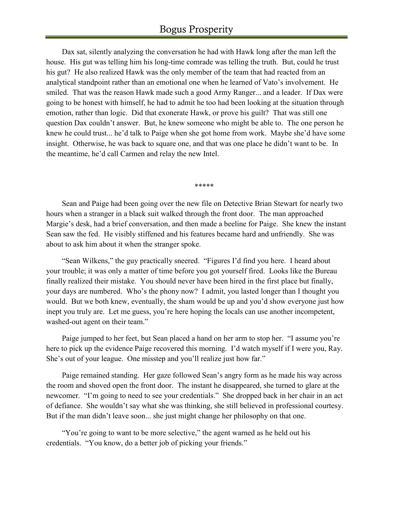Dax sat, silently analyzing the conversation he had with Hawk long after the man left the house. His gut was telling him his long-time comrade was telling the truth. But, could he trust his gut? He also realized Hawk was the only member of the team that had reacted from an analytical standpoint rather than an emotional one when he learned of Vato's involvement. He smiled. That was the reason Hawk made such a good Army Ranger... and a leader. If Dax were going to be honest with himself, he had to admit he too had been looking at the situation through emotion, rather than logic. Did that exonerate Hawk, or prove his guilt? That was still one question Dax couldn't answer. But, he knew someone who might be able to. The one person he knew he could trust... he'd talk to Paige when she got home from work. Maybe she'd have some insight. Otherwise, he was back to square one, and that was one place he didn't want to be. In the meantime, he'd call Carmen and relay the new Intel.

\*\*\*\*\*

Sean and Paige had been going over the new file on Detective Brian Stewart for nearly two hours when a stranger in a black suit walked through the front door. The man approached Margie's desk, had a brief conversation, and then made a beeline for Paige. She knew the instant Sean saw the fed. He visibly stiffened and his features became hard and unfriendly. She was about to ask him about it when the stranger spoke.

"Sean Wilkens," the guy practically sneered. "Figures I'd find you here. I heard about your trouble; it was only a matter of time before you got yourself fired. Looks like the Bureau finally realized their mistake. You should never have been hired in the first place but finally, your days are numbered. Who's the phony now? I admit, you lasted longer than I thought you would. But we both knew, eventually, the sham would be up and you'd show everyone just how inept you truly are. Let me guess, you're here hoping the locals can use another incompetent, washed-out agent on their team."

Paige jumped to her feet, but Sean placed a hand on her arm to stop her. "I assume you're here to pick up the evidence Paige recovered this morning. I'd watch myself if I were you, Ray. She's out of your league. One misstep and you'll realize just how far."

Paige remained standing. Her gaze followed Sean's angry form as he made his way across the room and shoved open the front door. The instant he disappeared, she turned to glare at the newcomer. "I'm going to need to see your credentials." She dropped back in her chair in an act of defiance. She wouldn't say what she was thinking, she still believed in professional courtesy. But if the man didn't leave soon... she just might change her philosophy on that one.

"You're going to want to be more selective," the agent warned as he held out his credentials. "You know, do a better job of picking your friends."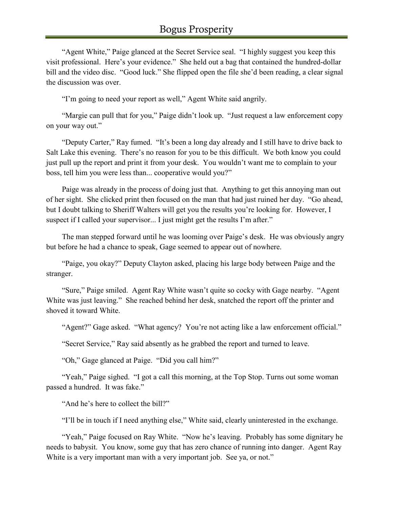"Agent White," Paige glanced at the Secret Service seal. "I highly suggest you keep this visit professional. Here's your evidence." She held out a bag that contained the hundred-dollar bill and the video disc. "Good luck." She flipped open the file she'd been reading, a clear signal the discussion was over.

"I'm going to need your report as well," Agent White said angrily.

"Margie can pull that for you," Paige didn't look up. "Just request a law enforcement copy on your way out."

"Deputy Carter," Ray fumed. "It's been a long day already and I still have to drive back to Salt Lake this evening. There's no reason for you to be this difficult. We both know you could just pull up the report and print it from your desk. You wouldn't want me to complain to your boss, tell him you were less than... cooperative would you?"

Paige was already in the process of doing just that. Anything to get this annoying man out of her sight. She clicked print then focused on the man that had just ruined her day. "Go ahead, but I doubt talking to Sheriff Walters will get you the results you're looking for. However, I suspect if I called your supervisor... I just might get the results I'm after."

The man stepped forward until he was looming over Paige's desk. He was obviously angry but before he had a chance to speak, Gage seemed to appear out of nowhere.

"Paige, you okay?" Deputy Clayton asked, placing his large body between Paige and the stranger.

"Sure," Paige smiled. Agent Ray White wasn't quite so cocky with Gage nearby. "Agent White was just leaving." She reached behind her desk, snatched the report off the printer and shoved it toward White.

"Agent?" Gage asked. "What agency? You're not acting like a law enforcement official."

"Secret Service," Ray said absently as he grabbed the report and turned to leave.

"Oh," Gage glanced at Paige. "Did you call him?"

"Yeah," Paige sighed. "I got a call this morning, at the Top Stop. Turns out some woman passed a hundred. It was fake."

"And he's here to collect the bill?"

"I'll be in touch if I need anything else," White said, clearly uninterested in the exchange.

"Yeah," Paige focused on Ray White. "Now he's leaving. Probably has some dignitary he needs to babysit. You know, some guy that has zero chance of running into danger. Agent Ray White is a very important man with a very important job. See ya, or not."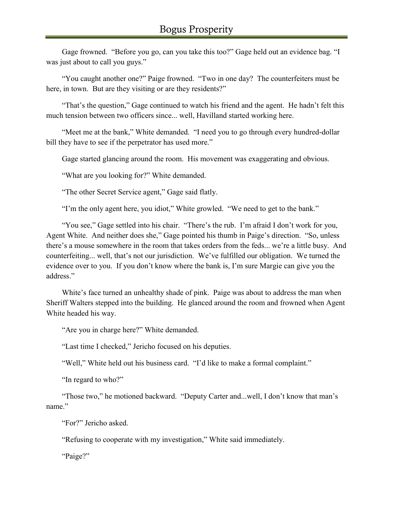Gage frowned. "Before you go, can you take this too?" Gage held out an evidence bag. "I was just about to call you guys."

"You caught another one?" Paige frowned. "Two in one day? The counterfeiters must be here, in town. But are they visiting or are they residents?"

"That's the question," Gage continued to watch his friend and the agent. He hadn't felt this much tension between two officers since... well, Havilland started working here.

"Meet me at the bank," White demanded. "I need you to go through every hundred-dollar bill they have to see if the perpetrator has used more."

Gage started glancing around the room. His movement was exaggerating and obvious.

"What are you looking for?" White demanded.

"The other Secret Service agent," Gage said flatly.

"I'm the only agent here, you idiot," White growled. "We need to get to the bank."

"You see," Gage settled into his chair. "There's the rub. I'm afraid I don't work for you, Agent White. And neither does she," Gage pointed his thumb in Paige's direction. "So, unless there's a mouse somewhere in the room that takes orders from the feds... we're a little busy. And counterfeiting... well, that's not our jurisdiction. We've fulfilled our obligation. We turned the evidence over to you. If you don't know where the bank is, I'm sure Margie can give you the address."

White's face turned an unhealthy shade of pink. Paige was about to address the man when Sheriff Walters stepped into the building. He glanced around the room and frowned when Agent White headed his way.

"Are you in charge here?" White demanded.

"Last time I checked," Jericho focused on his deputies.

"Well," White held out his business card. "I'd like to make a formal complaint."

"In regard to who?"

"Those two," he motioned backward. "Deputy Carter and...well, I don't know that man's name."

"For?" Jericho asked.

"Refusing to cooperate with my investigation," White said immediately.

"Paige?"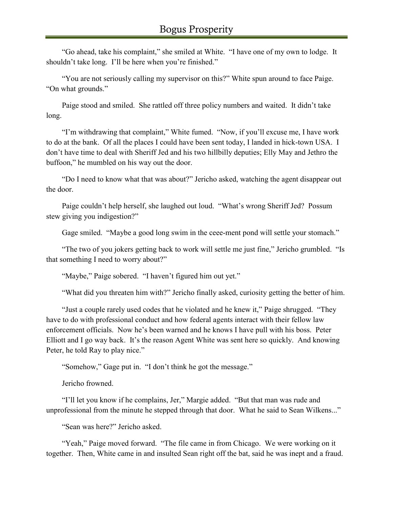"Go ahead, take his complaint," she smiled at White. "I have one of my own to lodge. It shouldn't take long. I'll be here when you're finished."

"You are not seriously calling my supervisor on this?" White spun around to face Paige. "On what grounds."

Paige stood and smiled. She rattled off three policy numbers and waited. It didn't take long.

"I'm withdrawing that complaint," White fumed. "Now, if you'll excuse me, I have work to do at the bank. Of all the places I could have been sent today, I landed in hick-town USA. I don't have time to deal with Sheriff Jed and his two hillbilly deputies; Elly May and Jethro the buffoon," he mumbled on his way out the door.

"Do I need to know what that was about?" Jericho asked, watching the agent disappear out the door.

Paige couldn't help herself, she laughed out loud. "What's wrong Sheriff Jed? Possum stew giving you indigestion?"

Gage smiled. "Maybe a good long swim in the ceee-ment pond will settle your stomach."

"The two of you jokers getting back to work will settle me just fine," Jericho grumbled. "Is that something I need to worry about?"

"Maybe," Paige sobered. "I haven't figured him out yet."

"What did you threaten him with?" Jericho finally asked, curiosity getting the better of him.

"Just a couple rarely used codes that he violated and he knew it," Paige shrugged. "They have to do with professional conduct and how federal agents interact with their fellow law enforcement officials. Now he's been warned and he knows I have pull with his boss. Peter Elliott and I go way back. It's the reason Agent White was sent here so quickly. And knowing Peter, he told Ray to play nice."

"Somehow," Gage put in. "I don't think he got the message."

Jericho frowned.

"I'll let you know if he complains, Jer," Margie added. "But that man was rude and unprofessional from the minute he stepped through that door. What he said to Sean Wilkens..."

"Sean was here?" Jericho asked.

"Yeah," Paige moved forward. "The file came in from Chicago. We were working on it together. Then, White came in and insulted Sean right off the bat, said he was inept and a fraud.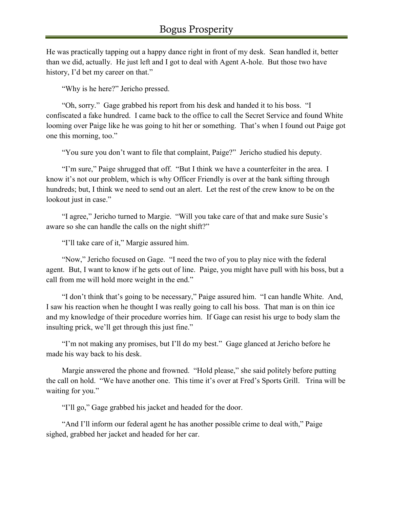He was practically tapping out a happy dance right in front of my desk. Sean handled it, better than we did, actually. He just left and I got to deal with Agent A-hole. But those two have history, I'd bet my career on that."

"Why is he here?" Jericho pressed.

"Oh, sorry." Gage grabbed his report from his desk and handed it to his boss. "I confiscated a fake hundred. I came back to the office to call the Secret Service and found White looming over Paige like he was going to hit her or something. That's when I found out Paige got one this morning, too."

"You sure you don't want to file that complaint, Paige?" Jericho studied his deputy.

"I'm sure," Paige shrugged that off. "But I think we have a counterfeiter in the area. I know it's not our problem, which is why Officer Friendly is over at the bank sifting through hundreds; but, I think we need to send out an alert. Let the rest of the crew know to be on the lookout just in case."

"I agree," Jericho turned to Margie. "Will you take care of that and make sure Susie's aware so she can handle the calls on the night shift?"

"I'll take care of it," Margie assured him.

"Now," Jericho focused on Gage. "I need the two of you to play nice with the federal agent. But, I want to know if he gets out of line. Paige, you might have pull with his boss, but a call from me will hold more weight in the end."

"I don't think that's going to be necessary," Paige assured him. "I can handle White. And, I saw his reaction when he thought I was really going to call his boss. That man is on thin ice and my knowledge of their procedure worries him. If Gage can resist his urge to body slam the insulting prick, we'll get through this just fine."

"I'm not making any promises, but I'll do my best." Gage glanced at Jericho before he made his way back to his desk.

Margie answered the phone and frowned. "Hold please," she said politely before putting the call on hold. "We have another one. This time it's over at Fred's Sports Grill. Trina will be waiting for you."

"I'll go," Gage grabbed his jacket and headed for the door.

"And I'll inform our federal agent he has another possible crime to deal with," Paige sighed, grabbed her jacket and headed for her car.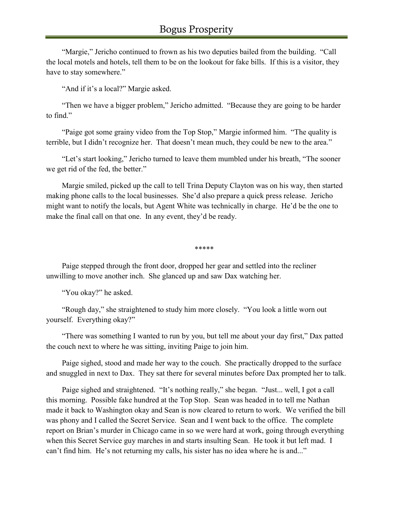"Margie," Jericho continued to frown as his two deputies bailed from the building. "Call the local motels and hotels, tell them to be on the lookout for fake bills. If this is a visitor, they have to stay somewhere."

"And if it's a local?" Margie asked.

"Then we have a bigger problem," Jericho admitted. "Because they are going to be harder to find."

"Paige got some grainy video from the Top Stop," Margie informed him. "The quality is terrible, but I didn't recognize her. That doesn't mean much, they could be new to the area."

"Let's start looking," Jericho turned to leave them mumbled under his breath, "The sooner we get rid of the fed, the better."

Margie smiled, picked up the call to tell Trina Deputy Clayton was on his way, then started making phone calls to the local businesses. She'd also prepare a quick press release. Jericho might want to notify the locals, but Agent White was technically in charge. He'd be the one to make the final call on that one. In any event, they'd be ready.

\*\*\*\*\*

Paige stepped through the front door, dropped her gear and settled into the recliner unwilling to move another inch. She glanced up and saw Dax watching her.

"You okay?" he asked.

"Rough day," she straightened to study him more closely. "You look a little worn out yourself. Everything okay?"

"There was something I wanted to run by you, but tell me about your day first," Dax patted the couch next to where he was sitting, inviting Paige to join him.

Paige sighed, stood and made her way to the couch. She practically dropped to the surface and snuggled in next to Dax. They sat there for several minutes before Dax prompted her to talk.

Paige sighed and straightened. "It's nothing really," she began. "Just... well, I got a call this morning. Possible fake hundred at the Top Stop. Sean was headed in to tell me Nathan made it back to Washington okay and Sean is now cleared to return to work. We verified the bill was phony and I called the Secret Service. Sean and I went back to the office. The complete report on Brian's murder in Chicago came in so we were hard at work, going through everything when this Secret Service guy marches in and starts insulting Sean. He took it but left mad. I can't find him. He's not returning my calls, his sister has no idea where he is and..."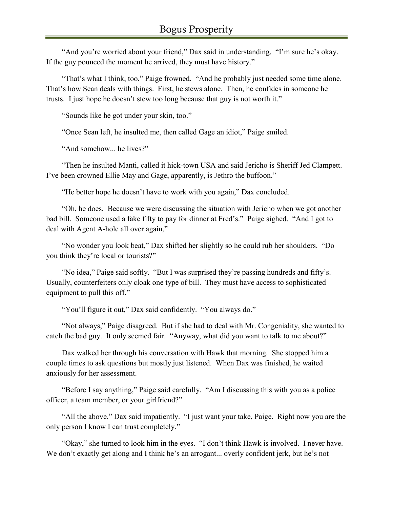"And you're worried about your friend," Dax said in understanding. "I'm sure he's okay. If the guy pounced the moment he arrived, they must have history."

"That's what I think, too," Paige frowned. "And he probably just needed some time alone. That's how Sean deals with things. First, he stews alone. Then, he confides in someone he trusts. I just hope he doesn't stew too long because that guy is not worth it."

"Sounds like he got under your skin, too."

"Once Sean left, he insulted me, then called Gage an idiot," Paige smiled.

"And somehow... he lives?"

"Then he insulted Manti, called it hick-town USA and said Jericho is Sheriff Jed Clampett. I've been crowned Ellie May and Gage, apparently, is Jethro the buffoon."

"He better hope he doesn't have to work with you again," Dax concluded.

"Oh, he does. Because we were discussing the situation with Jericho when we got another bad bill. Someone used a fake fifty to pay for dinner at Fred's." Paige sighed. "And I got to deal with Agent A-hole all over again,"

"No wonder you look beat," Dax shifted her slightly so he could rub her shoulders. "Do you think they're local or tourists?"

"No idea," Paige said softly. "But I was surprised they're passing hundreds and fifty's. Usually, counterfeiters only cloak one type of bill. They must have access to sophisticated equipment to pull this off."

"You'll figure it out," Dax said confidently. "You always do."

"Not always," Paige disagreed. But if she had to deal with Mr. Congeniality, she wanted to catch the bad guy. It only seemed fair. "Anyway, what did you want to talk to me about?"

Dax walked her through his conversation with Hawk that morning. She stopped him a couple times to ask questions but mostly just listened. When Dax was finished, he waited anxiously for her assessment.

"Before I say anything," Paige said carefully. "Am I discussing this with you as a police officer, a team member, or your girlfriend?"

"All the above," Dax said impatiently. "I just want your take, Paige. Right now you are the only person I know I can trust completely."

"Okay," she turned to look him in the eyes. "I don't think Hawk is involved. I never have. We don't exactly get along and I think he's an arrogant... overly confident jerk, but he's not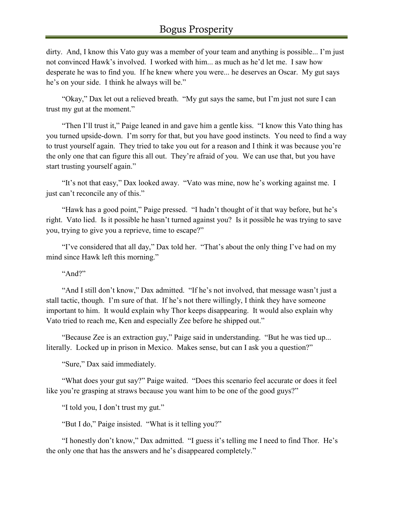dirty. And, I know this Vato guy was a member of your team and anything is possible... I'm just not convinced Hawk's involved. I worked with him... as much as he'd let me. I saw how desperate he was to find you. If he knew where you were... he deserves an Oscar. My gut says he's on your side. I think he always will be."

"Okay," Dax let out a relieved breath. "My gut says the same, but I'm just not sure I can trust my gut at the moment."

"Then I'll trust it," Paige leaned in and gave him a gentle kiss. "I know this Vato thing has you turned upside-down. I'm sorry for that, but you have good instincts. You need to find a way to trust yourself again. They tried to take you out for a reason and I think it was because you're the only one that can figure this all out. They're afraid of you. We can use that, but you have start trusting yourself again."

"It's not that easy," Dax looked away. "Vato was mine, now he's working against me. I just can't reconcile any of this."

"Hawk has a good point," Paige pressed. "I hadn't thought of it that way before, but he's right. Vato lied. Is it possible he hasn't turned against you? Is it possible he was trying to save you, trying to give you a reprieve, time to escape?"

"I've considered that all day," Dax told her. "That's about the only thing I've had on my mind since Hawk left this morning."

"And?"

"And I still don't know," Dax admitted. "If he's not involved, that message wasn't just a stall tactic, though. I'm sure of that. If he's not there willingly, I think they have someone important to him. It would explain why Thor keeps disappearing. It would also explain why Vato tried to reach me, Ken and especially Zee before he shipped out."

"Because Zee is an extraction guy," Paige said in understanding. "But he was tied up... literally. Locked up in prison in Mexico. Makes sense, but can I ask you a question?"

"Sure," Dax said immediately.

"What does your gut say?" Paige waited. "Does this scenario feel accurate or does it feel like you're grasping at straws because you want him to be one of the good guys?"

"I told you, I don't trust my gut."

"But I do," Paige insisted. "What is it telling you?"

"I honestly don't know," Dax admitted. "I guess it's telling me I need to find Thor. He's the only one that has the answers and he's disappeared completely."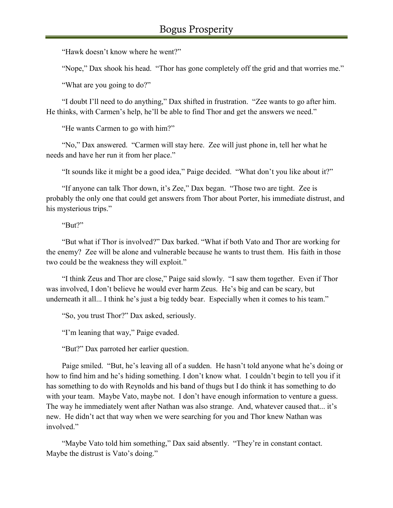"Hawk doesn't know where he went?"

"Nope," Dax shook his head. "Thor has gone completely off the grid and that worries me."

"What are you going to do?"

"I doubt I'll need to do anything," Dax shifted in frustration. "Zee wants to go after him. He thinks, with Carmen's help, he'll be able to find Thor and get the answers we need."

"He wants Carmen to go with him?"

"No," Dax answered. "Carmen will stay here. Zee will just phone in, tell her what he needs and have her run it from her place."

"It sounds like it might be a good idea," Paige decided. "What don't you like about it?"

"If anyone can talk Thor down, it's Zee," Dax began. "Those two are tight. Zee is probably the only one that could get answers from Thor about Porter, his immediate distrust, and his mysterious trips."

"But?"

"But what if Thor is involved?" Dax barked. "What if both Vato and Thor are working for the enemy? Zee will be alone and vulnerable because he wants to trust them. His faith in those two could be the weakness they will exploit."

"I think Zeus and Thor are close," Paige said slowly. "I saw them together. Even if Thor was involved, I don't believe he would ever harm Zeus. He's big and can be scary, but underneath it all... I think he's just a big teddy bear. Especially when it comes to his team."

"So, you trust Thor?" Dax asked, seriously.

"I'm leaning that way," Paige evaded.

"But?" Dax parroted her earlier question.

Paige smiled. "But, he's leaving all of a sudden. He hasn't told anyone what he's doing or how to find him and he's hiding something. I don't know what. I couldn't begin to tell you if it has something to do with Reynolds and his band of thugs but I do think it has something to do with your team. Maybe Vato, maybe not. I don't have enough information to venture a guess. The way he immediately went after Nathan was also strange. And, whatever caused that... it's new. He didn't act that way when we were searching for you and Thor knew Nathan was involved."

"Maybe Vato told him something," Dax said absently. "They're in constant contact. Maybe the distrust is Vato's doing."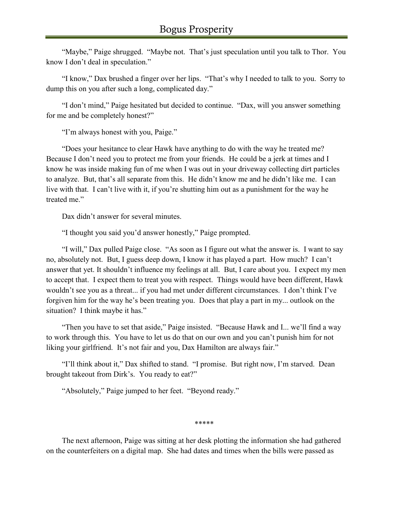"Maybe," Paige shrugged. "Maybe not. That's just speculation until you talk to Thor. You know I don't deal in speculation."

"I know," Dax brushed a finger over her lips. "That's why I needed to talk to you. Sorry to dump this on you after such a long, complicated day."

"I don't mind," Paige hesitated but decided to continue. "Dax, will you answer something for me and be completely honest?"

"I'm always honest with you, Paige."

"Does your hesitance to clear Hawk have anything to do with the way he treated me? Because I don't need you to protect me from your friends. He could be a jerk at times and I know he was inside making fun of me when I was out in your driveway collecting dirt particles to analyze. But, that's all separate from this. He didn't know me and he didn't like me. I can live with that. I can't live with it, if you're shutting him out as a punishment for the way he treated me."

Dax didn't answer for several minutes.

"I thought you said you'd answer honestly," Paige prompted.

"I will," Dax pulled Paige close. "As soon as I figure out what the answer is. I want to say no, absolutely not. But, I guess deep down, I know it has played a part. How much? I can't answer that yet. It shouldn't influence my feelings at all. But, I care about you. I expect my men to accept that. I expect them to treat you with respect. Things would have been different, Hawk wouldn't see you as a threat... if you had met under different circumstances. I don't think I've forgiven him for the way he's been treating you. Does that play a part in my... outlook on the situation? I think maybe it has."

"Then you have to set that aside," Paige insisted. "Because Hawk and I... we'll find a way to work through this. You have to let us do that on our own and you can't punish him for not liking your girlfriend. It's not fair and you, Dax Hamilton are always fair."

"I'll think about it," Dax shifted to stand. "I promise. But right now, I'm starved. Dean brought takeout from Dirk's. You ready to eat?"

"Absolutely," Paige jumped to her feet. "Beyond ready."

\*\*\*\*\*

The next afternoon, Paige was sitting at her desk plotting the information she had gathered on the counterfeiters on a digital map. She had dates and times when the bills were passed as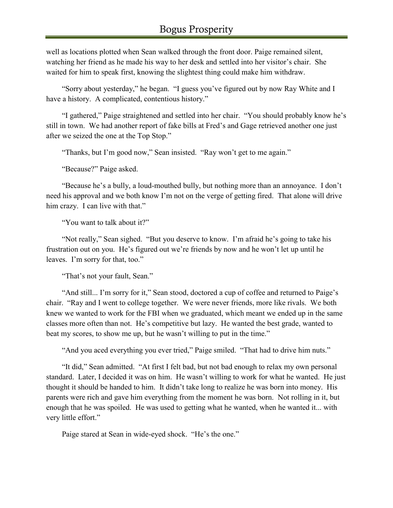well as locations plotted when Sean walked through the front door. Paige remained silent, watching her friend as he made his way to her desk and settled into her visitor's chair. She waited for him to speak first, knowing the slightest thing could make him withdraw.

"Sorry about yesterday," he began. "I guess you've figured out by now Ray White and I have a history. A complicated, contentious history."

"I gathered," Paige straightened and settled into her chair. "You should probably know he's still in town. We had another report of fake bills at Fred's and Gage retrieved another one just after we seized the one at the Top Stop."

"Thanks, but I'm good now," Sean insisted. "Ray won't get to me again."

"Because?" Paige asked.

"Because he's a bully, a loud-mouthed bully, but nothing more than an annoyance. I don't need his approval and we both know I'm not on the verge of getting fired. That alone will drive him crazy. I can live with that."

"You want to talk about it?"

"Not really," Sean sighed. "But you deserve to know. I'm afraid he's going to take his frustration out on you. He's figured out we're friends by now and he won't let up until he leaves. I'm sorry for that, too."

"That's not your fault, Sean."

"And still... I'm sorry for it," Sean stood, doctored a cup of coffee and returned to Paige's chair. "Ray and I went to college together. We were never friends, more like rivals. We both knew we wanted to work for the FBI when we graduated, which meant we ended up in the same classes more often than not. He's competitive but lazy. He wanted the best grade, wanted to beat my scores, to show me up, but he wasn't willing to put in the time."

"And you aced everything you ever tried," Paige smiled. "That had to drive him nuts."

"It did," Sean admitted. "At first I felt bad, but not bad enough to relax my own personal standard. Later, I decided it was on him. He wasn't willing to work for what he wanted. He just thought it should be handed to him. It didn't take long to realize he was born into money. His parents were rich and gave him everything from the moment he was born. Not rolling in it, but enough that he was spoiled. He was used to getting what he wanted, when he wanted it... with very little effort."

Paige stared at Sean in wide-eyed shock. "He's the one."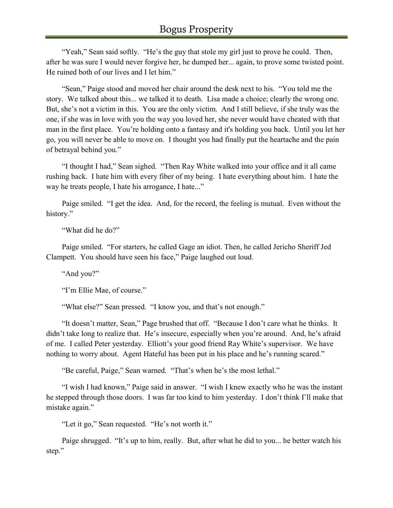"Yeah," Sean said softly. "He's the guy that stole my girl just to prove he could. Then, after he was sure I would never forgive her, he dumped her... again, to prove some twisted point. He ruined both of our lives and I let him."

"Sean," Paige stood and moved her chair around the desk next to his. "You told me the story. We talked about this... we talked it to death. Lisa made a choice; clearly the wrong one. But, she's not a victim in this. You are the only victim. And I still believe, if she truly was the one, if she was in love with you the way you loved her, she never would have cheated with that man in the first place. You're holding onto a fantasy and it's holding you back. Until you let her go, you will never be able to move on. I thought you had finally put the heartache and the pain of betrayal behind you."

"I thought I had," Sean sighed. "Then Ray White walked into your office and it all came rushing back. I hate him with every fiber of my being. I hate everything about him. I hate the way he treats people, I hate his arrogance, I hate..."

Paige smiled. "I get the idea. And, for the record, the feeling is mutual. Even without the history."

"What did he do?"

Paige smiled. "For starters, he called Gage an idiot. Then, he called Jericho Sheriff Jed Clampett. You should have seen his face," Paige laughed out loud.

"And you?"

"I'm Ellie Mae, of course."

"What else?" Sean pressed. "I know you, and that's not enough."

"It doesn't matter, Sean," Page brushed that off. "Because I don't care what he thinks. It didn't take long to realize that. He's insecure, especially when you're around. And, he's afraid of me. I called Peter yesterday. Elliott's your good friend Ray White's supervisor. We have nothing to worry about. Agent Hateful has been put in his place and he's running scared."

"Be careful, Paige," Sean warned. "That's when he's the most lethal."

"I wish I had known," Paige said in answer. "I wish I knew exactly who he was the instant he stepped through those doors. I was far too kind to him yesterday. I don't think I'll make that mistake again."

"Let it go," Sean requested. "He's not worth it."

Paige shrugged. "It's up to him, really. But, after what he did to you... he better watch his step."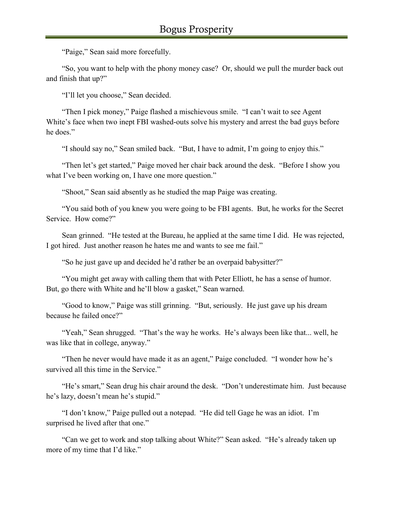"Paige," Sean said more forcefully.

"So, you want to help with the phony money case? Or, should we pull the murder back out and finish that up?"

"I'll let you choose," Sean decided.

"Then I pick money," Paige flashed a mischievous smile. "I can't wait to see Agent White's face when two inept FBI washed-outs solve his mystery and arrest the bad guys before he does."

"I should say no," Sean smiled back. "But, I have to admit, I'm going to enjoy this."

"Then let's get started," Paige moved her chair back around the desk. "Before I show you what I've been working on, I have one more question."

"Shoot," Sean said absently as he studied the map Paige was creating.

"You said both of you knew you were going to be FBI agents. But, he works for the Secret Service. How come?"

Sean grinned. "He tested at the Bureau, he applied at the same time I did. He was rejected, I got hired. Just another reason he hates me and wants to see me fail."

"So he just gave up and decided he'd rather be an overpaid babysitter?"

"You might get away with calling them that with Peter Elliott, he has a sense of humor. But, go there with White and he'll blow a gasket," Sean warned.

"Good to know," Paige was still grinning. "But, seriously. He just gave up his dream because he failed once?"

"Yeah," Sean shrugged. "That's the way he works. He's always been like that... well, he was like that in college, anyway."

"Then he never would have made it as an agent," Paige concluded. "I wonder how he's survived all this time in the Service."

"He's smart," Sean drug his chair around the desk. "Don't underestimate him. Just because he's lazy, doesn't mean he's stupid."

"I don't know," Paige pulled out a notepad. "He did tell Gage he was an idiot. I'm surprised he lived after that one."

"Can we get to work and stop talking about White?" Sean asked. "He's already taken up more of my time that I'd like."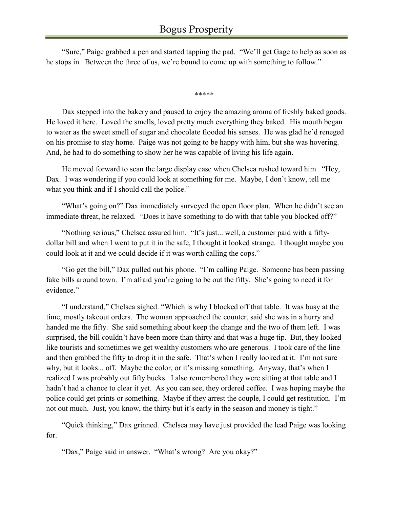"Sure," Paige grabbed a pen and started tapping the pad. "We'll get Gage to help as soon as he stops in. Between the three of us, we're bound to come up with something to follow."

\*\*\*\*\*

Dax stepped into the bakery and paused to enjoy the amazing aroma of freshly baked goods. He loved it here. Loved the smells, loved pretty much everything they baked. His mouth began to water as the sweet smell of sugar and chocolate flooded his senses. He was glad he'd reneged on his promise to stay home. Paige was not going to be happy with him, but she was hovering. And, he had to do something to show her he was capable of living his life again.

He moved forward to scan the large display case when Chelsea rushed toward him. "Hey, Dax. I was wondering if you could look at something for me. Maybe, I don't know, tell me what you think and if I should call the police."

"What's going on?" Dax immediately surveyed the open floor plan. When he didn't see an immediate threat, he relaxed. "Does it have something to do with that table you blocked off?"

"Nothing serious," Chelsea assured him. "It's just... well, a customer paid with a fiftydollar bill and when I went to put it in the safe, I thought it looked strange. I thought maybe you could look at it and we could decide if it was worth calling the cops."

"Go get the bill," Dax pulled out his phone. "I'm calling Paige. Someone has been passing fake bills around town. I'm afraid you're going to be out the fifty. She's going to need it for evidence."

"I understand," Chelsea sighed. "Which is why I blocked off that table. It was busy at the time, mostly takeout orders. The woman approached the counter, said she was in a hurry and handed me the fifty. She said something about keep the change and the two of them left. I was surprised, the bill couldn't have been more than thirty and that was a huge tip. But, they looked like tourists and sometimes we get wealthy customers who are generous. I took care of the line and then grabbed the fifty to drop it in the safe. That's when I really looked at it. I'm not sure why, but it looks... off. Maybe the color, or it's missing something. Anyway, that's when I realized I was probably out fifty bucks. I also remembered they were sitting at that table and I hadn't had a chance to clear it yet. As you can see, they ordered coffee. I was hoping maybe the police could get prints or something. Maybe if they arrest the couple, I could get restitution. I'm not out much. Just, you know, the thirty but it's early in the season and money is tight."

"Quick thinking," Dax grinned. Chelsea may have just provided the lead Paige was looking for.

"Dax," Paige said in answer. "What's wrong? Are you okay?"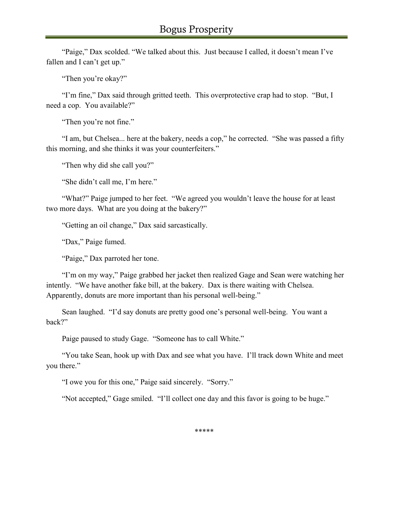"Paige," Dax scolded. "We talked about this. Just because I called, it doesn't mean I've fallen and I can't get up."

"Then you're okay?"

"I'm fine," Dax said through gritted teeth. This overprotective crap had to stop. "But, I need a cop. You available?"

"Then you're not fine."

"I am, but Chelsea... here at the bakery, needs a cop," he corrected. "She was passed a fifty this morning, and she thinks it was your counterfeiters."

"Then why did she call you?"

"She didn't call me, I'm here."

"What?" Paige jumped to her feet. "We agreed you wouldn't leave the house for at least two more days. What are you doing at the bakery?"

"Getting an oil change," Dax said sarcastically.

"Dax," Paige fumed.

"Paige," Dax parroted her tone.

"I'm on my way," Paige grabbed her jacket then realized Gage and Sean were watching her intently. "We have another fake bill, at the bakery. Dax is there waiting with Chelsea. Apparently, donuts are more important than his personal well-being."

Sean laughed. "I'd say donuts are pretty good one's personal well-being. You want a back?"

Paige paused to study Gage. "Someone has to call White."

"You take Sean, hook up with Dax and see what you have. I'll track down White and meet you there."

"I owe you for this one," Paige said sincerely. "Sorry."

"Not accepted," Gage smiled. "I'll collect one day and this favor is going to be huge."

\*\*\*\*\*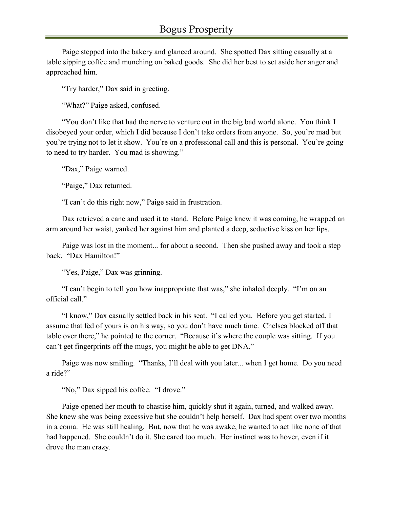Paige stepped into the bakery and glanced around. She spotted Dax sitting casually at a table sipping coffee and munching on baked goods. She did her best to set aside her anger and approached him.

"Try harder," Dax said in greeting.

"What?" Paige asked, confused.

"You don't like that had the nerve to venture out in the big bad world alone. You think I disobeyed your order, which I did because I don't take orders from anyone. So, you're mad but you're trying not to let it show. You're on a professional call and this is personal. You're going to need to try harder. You mad is showing."

"Dax," Paige warned.

"Paige," Dax returned.

"I can't do this right now," Paige said in frustration.

Dax retrieved a cane and used it to stand. Before Paige knew it was coming, he wrapped an arm around her waist, yanked her against him and planted a deep, seductive kiss on her lips.

Paige was lost in the moment... for about a second. Then she pushed away and took a step back. "Dax Hamilton!"

"Yes, Paige," Dax was grinning.

"I can't begin to tell you how inappropriate that was," she inhaled deeply. "I'm on an official call."

"I know," Dax casually settled back in his seat. "I called you. Before you get started, I assume that fed of yours is on his way, so you don't have much time. Chelsea blocked off that table over there," he pointed to the corner. "Because it's where the couple was sitting. If you can't get fingerprints off the mugs, you might be able to get DNA."

Paige was now smiling. "Thanks, I'll deal with you later... when I get home. Do you need a ride?"

"No," Dax sipped his coffee. "I drove."

Paige opened her mouth to chastise him, quickly shut it again, turned, and walked away. She knew she was being excessive but she couldn't help herself. Dax had spent over two months in a coma. He was still healing. But, now that he was awake, he wanted to act like none of that had happened. She couldn't do it. She cared too much. Her instinct was to hover, even if it drove the man crazy.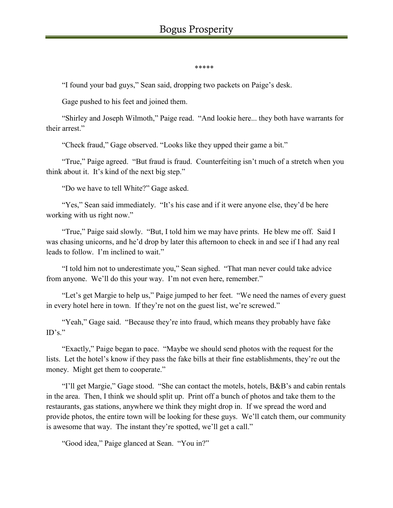#### \*\*\*\*\*

"I found your bad guys," Sean said, dropping two packets on Paige's desk.

Gage pushed to his feet and joined them.

"Shirley and Joseph Wilmoth," Paige read. "And lookie here... they both have warrants for their arrest."

"Check fraud," Gage observed. "Looks like they upped their game a bit."

"True," Paige agreed. "But fraud is fraud. Counterfeiting isn't much of a stretch when you think about it. It's kind of the next big step."

"Do we have to tell White?" Gage asked.

"Yes," Sean said immediately. "It's his case and if it were anyone else, they'd be here working with us right now."

"True," Paige said slowly. "But, I told him we may have prints. He blew me off. Said I was chasing unicorns, and he'd drop by later this afternoon to check in and see if I had any real leads to follow. I'm inclined to wait."

"I told him not to underestimate you," Sean sighed. "That man never could take advice from anyone. We'll do this your way. I'm not even here, remember."

"Let's get Margie to help us," Paige jumped to her feet. "We need the names of every guest in every hotel here in town. If they're not on the guest list, we're screwed."

"Yeah," Gage said. "Because they're into fraud, which means they probably have fake  $ID's."$ 

"Exactly," Paige began to pace. "Maybe we should send photos with the request for the lists. Let the hotel's know if they pass the fake bills at their fine establishments, they're out the money. Might get them to cooperate."

"I'll get Margie," Gage stood. "She can contact the motels, hotels, B&B's and cabin rentals in the area. Then, I think we should split up. Print off a bunch of photos and take them to the restaurants, gas stations, anywhere we think they might drop in. If we spread the word and provide photos, the entire town will be looking for these guys. We'll catch them, our community is awesome that way. The instant they're spotted, we'll get a call."

"Good idea," Paige glanced at Sean. "You in?"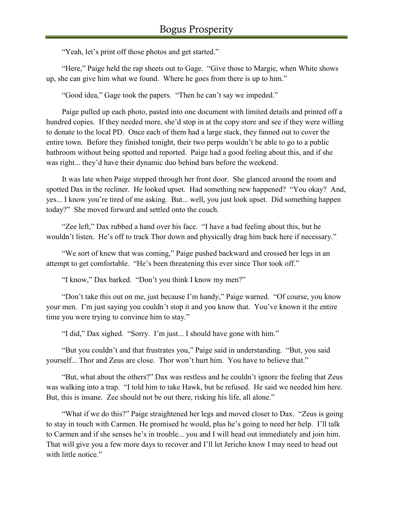"Yeah, let's print off those photos and get started."

"Here," Paige held the rap sheets out to Gage. "Give those to Margie, when White shows up, she can give him what we found. Where he goes from there is up to him."

"Good idea," Gage took the papers. "Then he can't say we impeded."

Paige pulled up each photo, pasted into one document with limited details and printed off a hundred copies. If they needed more, she'd stop in at the copy store and see if they were willing to donate to the local PD. Once each of them had a large stack, they fanned out to cover the entire town. Before they finished tonight, their two perps wouldn't be able to go to a public bathroom without being spotted and reported. Paige had a good feeling about this, and if she was right... they'd have their dynamic duo behind bars before the weekend.

It was late when Paige stepped through her front door. She glanced around the room and spotted Dax in the recliner. He looked upset. Had something new happened? "You okay? And, yes... I know you're tired of me asking. But... well, you just look upset. Did something happen today?" She moved forward and settled onto the couch.

"Zee left," Dax rubbed a hand over his face. "I have a bad feeling about this, but he wouldn't listen. He's off to track Thor down and physically drag him back here if necessary."

"We sort of knew that was coming," Paige pushed backward and crossed her legs in an attempt to get comfortable. "He's been threatening this ever since Thor took off."

"I know," Dax barked. "Don't you think I know my men?"

"Don't take this out on me, just because I'm handy," Paige warned. "Of course, you know your men. I'm just saying you couldn't stop it and you know that. You've known it the entire time you were trying to convince him to stay."

"I did," Dax sighed. "Sorry. I'm just... I should have gone with him."

"But you couldn't and that frustrates you," Paige said in understanding. "But, you said yourself... Thor and Zeus are close. Thor won't hurt him. You have to believe that."

"But, what about the others?" Dax was restless and he couldn't ignore the feeling that Zeus was walking into a trap. "I told him to take Hawk, but he refused. He said we needed him here. But, this is insane. Zee should not be out there, risking his life, all alone."

"What if we do this?" Paige straightened her legs and moved closer to Dax. "Zeus is going to stay in touch with Carmen. He promised he would, plus he's going to need her help. I'll talk to Carmen and if she senses he's in trouble... you and I will head out immediately and join him. That will give you a few more days to recover and I'll let Jericho know I may need to head out with little notice."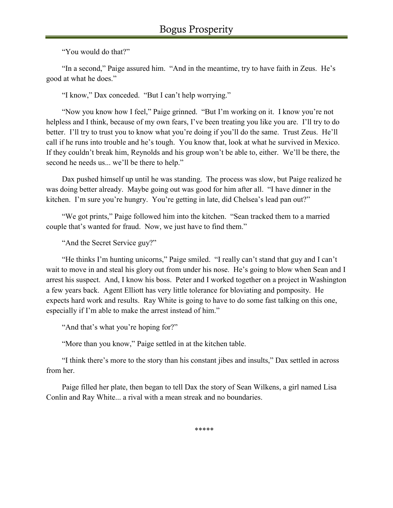"You would do that?"

"In a second," Paige assured him. "And in the meantime, try to have faith in Zeus. He's good at what he does."

"I know," Dax conceded. "But I can't help worrying."

"Now you know how I feel," Paige grinned. "But I'm working on it. I know you're not helpless and I think, because of my own fears, I've been treating you like you are. I'll try to do better. I'll try to trust you to know what you're doing if you'll do the same. Trust Zeus. He'll call if he runs into trouble and he's tough. You know that, look at what he survived in Mexico. If they couldn't break him, Reynolds and his group won't be able to, either. We'll be there, the second he needs us... we'll be there to help."

Dax pushed himself up until he was standing. The process was slow, but Paige realized he was doing better already. Maybe going out was good for him after all. "I have dinner in the kitchen. I'm sure you're hungry. You're getting in late, did Chelsea's lead pan out?"

"We got prints," Paige followed him into the kitchen. "Sean tracked them to a married couple that's wanted for fraud. Now, we just have to find them."

"And the Secret Service guy?"

"He thinks I'm hunting unicorns," Paige smiled. "I really can't stand that guy and I can't wait to move in and steal his glory out from under his nose. He's going to blow when Sean and I arrest his suspect. And, I know his boss. Peter and I worked together on a project in Washington a few years back. Agent Elliott has very little tolerance for bloviating and pomposity. He expects hard work and results. Ray White is going to have to do some fast talking on this one, especially if I'm able to make the arrest instead of him."

"And that's what you're hoping for?"

"More than you know," Paige settled in at the kitchen table.

"I think there's more to the story than his constant jibes and insults," Dax settled in across from her.

Paige filled her plate, then began to tell Dax the story of Sean Wilkens, a girl named Lisa Conlin and Ray White... a rival with a mean streak and no boundaries.

\*\*\*\*\*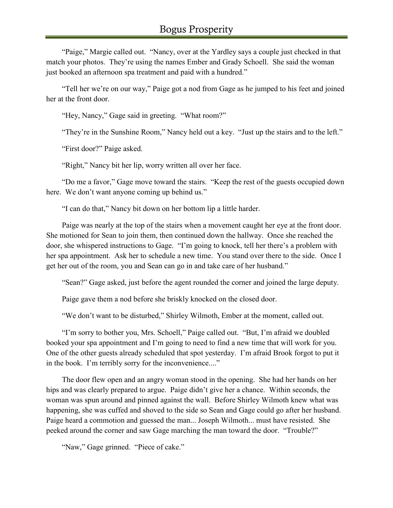"Paige," Margie called out. "Nancy, over at the Yardley says a couple just checked in that match your photos. They're using the names Ember and Grady Schoell. She said the woman just booked an afternoon spa treatment and paid with a hundred."

"Tell her we're on our way," Paige got a nod from Gage as he jumped to his feet and joined her at the front door.

"Hey, Nancy," Gage said in greeting. "What room?"

"They're in the Sunshine Room," Nancy held out a key. "Just up the stairs and to the left."

"First door?" Paige asked.

"Right," Nancy bit her lip, worry written all over her face.

"Do me a favor," Gage move toward the stairs. "Keep the rest of the guests occupied down here. We don't want anyone coming up behind us."

"I can do that," Nancy bit down on her bottom lip a little harder.

Paige was nearly at the top of the stairs when a movement caught her eye at the front door. She motioned for Sean to join them, then continued down the hallway. Once she reached the door, she whispered instructions to Gage. "I'm going to knock, tell her there's a problem with her spa appointment. Ask her to schedule a new time. You stand over there to the side. Once I get her out of the room, you and Sean can go in and take care of her husband."

"Sean?" Gage asked, just before the agent rounded the corner and joined the large deputy.

Paige gave them a nod before she briskly knocked on the closed door.

"We don't want to be disturbed," Shirley Wilmoth, Ember at the moment, called out.

"I'm sorry to bother you, Mrs. Schoell," Paige called out. "But, I'm afraid we doubled booked your spa appointment and I'm going to need to find a new time that will work for you. One of the other guests already scheduled that spot yesterday. I'm afraid Brook forgot to put it in the book. I'm terribly sorry for the inconvenience...."

The door flew open and an angry woman stood in the opening. She had her hands on her hips and was clearly prepared to argue. Paige didn't give her a chance. Within seconds, the woman was spun around and pinned against the wall. Before Shirley Wilmoth knew what was happening, she was cuffed and shoved to the side so Sean and Gage could go after her husband. Paige heard a commotion and guessed the man... Joseph Wilmoth... must have resisted. She peeked around the corner and saw Gage marching the man toward the door. "Trouble?"

"Naw," Gage grinned. "Piece of cake."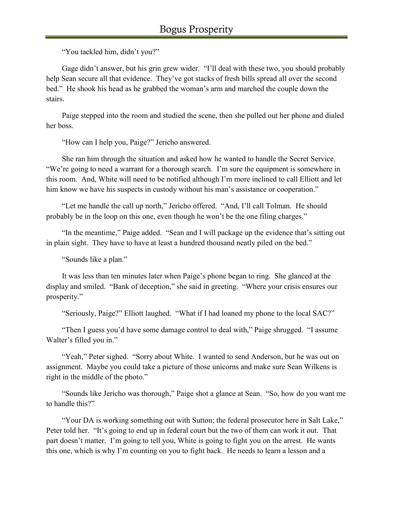"You tackled him, didn't you?"

Gage didn't answer, but his grin grew wider. "I'll deal with these two, you should probably help Sean secure all that evidence. They've got stacks of fresh bills spread all over the second bed." He shook his head as he grabbed the woman's arm and marched the couple down the stairs.

Paige stepped into the room and studied the scene, then she pulled out her phone and dialed her boss.

"How can I help you, Paige?" Jericho answered.

She ran him through the situation and asked how he wanted to handle the Secret Service. "We're going to need a warrant for a thorough search. I'm sure the equipment is somewhere in this room. And, White will need to be notified although I'm more inclined to call Elliott and let him know we have his suspects in custody without his man's assistance or cooperation."

"Let me handle the call up north," Jericho offered. "And, I'll call Tolman. He should probably be in the loop on this one, even though he won't be the one filing charges."

"In the meantime," Paige added. "Sean and I will package up the evidence that's sitting out in plain sight. They have to have at least a hundred thousand neatly piled on the bed."

"Sounds like a plan."

It was less than ten minutes later when Paige's phone began to ring. She glanced at the display and smiled. "Bank of deception," she said in greeting. "Where your crisis ensures our prosperity."

"Seriously, Paige?" Elliott laughed. "What if I had loaned my phone to the local SAC?"

"Then I guess you'd have some damage control to deal with," Paige shrugged. "I assume Walter's filled you in."

"Yeah," Peter sighed. "Sorry about White. I wanted to send Anderson, but he was out on assignment. Maybe you could take a picture of those unicorns and make sure Sean Wilkens is right in the middle of the photo."

"Sounds like Jericho was thorough," Paige shot a glance at Sean. "So, how do you want me to handle this?"

"Your DA is working something out with Sutton; the federal prosecutor here in Salt Lake," Peter told her. "It's going to end up in federal court but the two of them can work it out. That part doesn't matter. I'm going to tell you, White is going to fight you on the arrest. He wants this one, which is why I'm counting on you to fight back. He needs to learn a lesson and a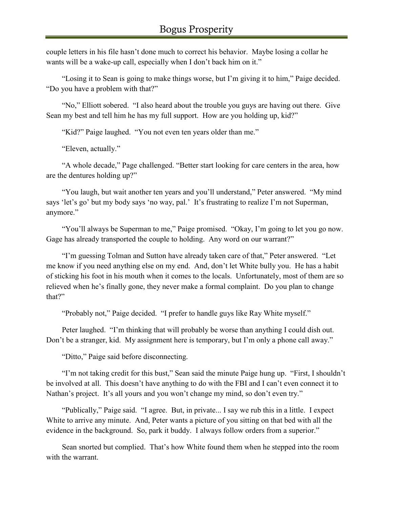couple letters in his file hasn't done much to correct his behavior. Maybe losing a collar he wants will be a wake-up call, especially when I don't back him on it."

"Losing it to Sean is going to make things worse, but I'm giving it to him," Paige decided. "Do you have a problem with that?"

"No," Elliott sobered. "I also heard about the trouble you guys are having out there. Give Sean my best and tell him he has my full support. How are you holding up, kid?"

"Kid?" Paige laughed. "You not even ten years older than me."

"Eleven, actually."

"A whole decade," Page challenged. "Better start looking for care centers in the area, how are the dentures holding up?"

"You laugh, but wait another ten years and you'll understand," Peter answered. "My mind says 'let's go' but my body says 'no way, pal.' It's frustrating to realize I'm not Superman, anymore."

"You'll always be Superman to me," Paige promised. "Okay, I'm going to let you go now. Gage has already transported the couple to holding. Any word on our warrant?"

"I'm guessing Tolman and Sutton have already taken care of that," Peter answered. "Let me know if you need anything else on my end. And, don't let White bully you. He has a habit of sticking his foot in his mouth when it comes to the locals. Unfortunately, most of them are so relieved when he's finally gone, they never make a formal complaint. Do you plan to change that?"

"Probably not," Paige decided. "I prefer to handle guys like Ray White myself."

Peter laughed. "I'm thinking that will probably be worse than anything I could dish out. Don't be a stranger, kid. My assignment here is temporary, but I'm only a phone call away."

"Ditto," Paige said before disconnecting.

"I'm not taking credit for this bust," Sean said the minute Paige hung up. "First, I shouldn't be involved at all. This doesn't have anything to do with the FBI and I can't even connect it to Nathan's project. It's all yours and you won't change my mind, so don't even try."

"Publically," Paige said. "I agree. But, in private... I say we rub this in a little. I expect White to arrive any minute. And, Peter wants a picture of you sitting on that bed with all the evidence in the background. So, park it buddy. I always follow orders from a superior."

Sean snorted but complied. That's how White found them when he stepped into the room with the warrant.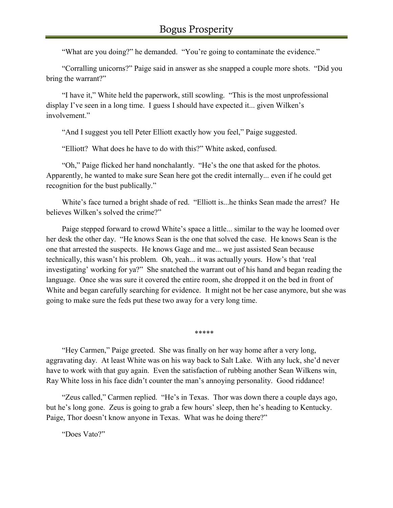"What are you doing?" he demanded. "You're going to contaminate the evidence."

"Corralling unicorns?" Paige said in answer as she snapped a couple more shots. "Did you bring the warrant?"

"I have it," White held the paperwork, still scowling. "This is the most unprofessional display I've seen in a long time. I guess I should have expected it... given Wilken's involvement."

"And I suggest you tell Peter Elliott exactly how you feel," Paige suggested.

"Elliott? What does he have to do with this?" White asked, confused.

"Oh," Paige flicked her hand nonchalantly. "He's the one that asked for the photos. Apparently, he wanted to make sure Sean here got the credit internally... even if he could get recognition for the bust publically."

White's face turned a bright shade of red. "Elliott is...he thinks Sean made the arrest? He believes Wilken's solved the crime?"

Paige stepped forward to crowd White's space a little... similar to the way he loomed over her desk the other day. "He knows Sean is the one that solved the case. He knows Sean is the one that arrested the suspects. He knows Gage and me... we just assisted Sean because technically, this wasn't his problem. Oh, yeah... it was actually yours. How's that 'real investigating' working for ya?" She snatched the warrant out of his hand and began reading the language. Once she was sure it covered the entire room, she dropped it on the bed in front of White and began carefully searching for evidence. It might not be her case anymore, but she was going to make sure the feds put these two away for a very long time.

\*\*\*\*\*

"Hey Carmen," Paige greeted. She was finally on her way home after a very long, aggravating day. At least White was on his way back to Salt Lake. With any luck, she'd never have to work with that guy again. Even the satisfaction of rubbing another Sean Wilkens win, Ray White loss in his face didn't counter the man's annoying personality. Good riddance!

"Zeus called," Carmen replied. "He's in Texas. Thor was down there a couple days ago, but he's long gone. Zeus is going to grab a few hours' sleep, then he's heading to Kentucky. Paige, Thor doesn't know anyone in Texas. What was he doing there?"

"Does Vato?"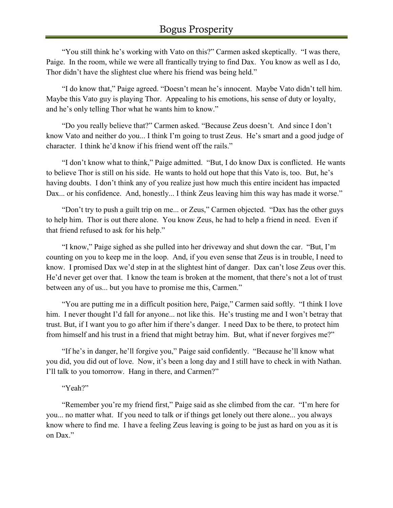"You still think he's working with Vato on this?" Carmen asked skeptically. "I was there, Paige. In the room, while we were all frantically trying to find Dax. You know as well as I do, Thor didn't have the slightest clue where his friend was being held."

"I do know that," Paige agreed. "Doesn't mean he's innocent. Maybe Vato didn't tell him. Maybe this Vato guy is playing Thor. Appealing to his emotions, his sense of duty or loyalty, and he's only telling Thor what he wants him to know."

"Do you really believe that?" Carmen asked. "Because Zeus doesn't. And since I don't know Vato and neither do you... I think I'm going to trust Zeus. He's smart and a good judge of character. I think he'd know if his friend went off the rails."

"I don't know what to think," Paige admitted. "But, I do know Dax is conflicted. He wants to believe Thor is still on his side. He wants to hold out hope that this Vato is, too. But, he's having doubts. I don't think any of you realize just how much this entire incident has impacted Dax... or his confidence. And, honestly... I think Zeus leaving him this way has made it worse."

"Don't try to push a guilt trip on me... or Zeus," Carmen objected. "Dax has the other guys to help him. Thor is out there alone. You know Zeus, he had to help a friend in need. Even if that friend refused to ask for his help."

"I know," Paige sighed as she pulled into her driveway and shut down the car. "But, I'm counting on you to keep me in the loop. And, if you even sense that Zeus is in trouble, I need to know. I promised Dax we'd step in at the slightest hint of danger. Dax can't lose Zeus over this. He'd never get over that. I know the team is broken at the moment, that there's not a lot of trust between any of us... but you have to promise me this, Carmen."

"You are putting me in a difficult position here, Paige," Carmen said softly. "I think I love him. I never thought I'd fall for anyone... not like this. He's trusting me and I won't betray that trust. But, if I want you to go after him if there's danger. I need Dax to be there, to protect him from himself and his trust in a friend that might betray him. But, what if never forgives me?"

"If he's in danger, he'll forgive you," Paige said confidently. "Because he'll know what you did, you did out of love. Now, it's been a long day and I still have to check in with Nathan. I'll talk to you tomorrow. Hang in there, and Carmen?"

#### "Yeah?"

"Remember you're my friend first," Paige said as she climbed from the car. "I'm here for you... no matter what. If you need to talk or if things get lonely out there alone... you always know where to find me. I have a feeling Zeus leaving is going to be just as hard on you as it is on Dax."